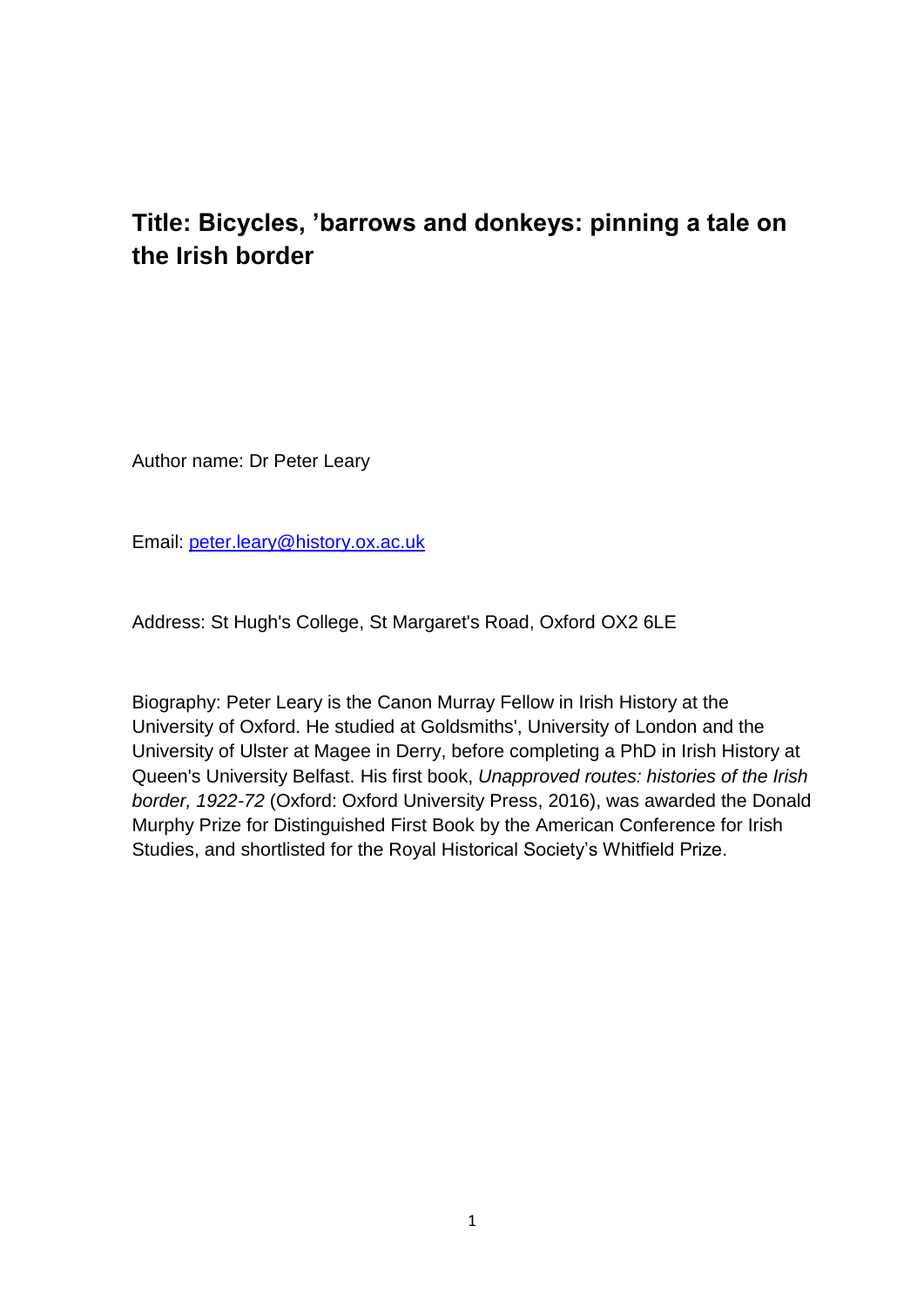# **Title: Bicycles, 'barrows and donkeys: pinning a tale on the Irish border**

Author name: Dr Peter Leary

Email: [peter.leary@history.ox.ac.uk](mailto:peter.leary@history.ox.ac.uk)

Address: St Hugh's College, St Margaret's Road, Oxford OX2 6LE

Biography: Peter Leary is the Canon Murray Fellow in Irish History at the University of Oxford. He studied at Goldsmiths', University of London and the University of Ulster at Magee in Derry, before completing a PhD in Irish History at Queen's University Belfast. His first book, *Unapproved routes: histories of the Irish border, 1922-72* (Oxford: Oxford University Press, 2016), was awarded the Donald Murphy Prize for Distinguished First Book by the American Conference for Irish Studies, and shortlisted for the Royal Historical Society's Whitfield Prize.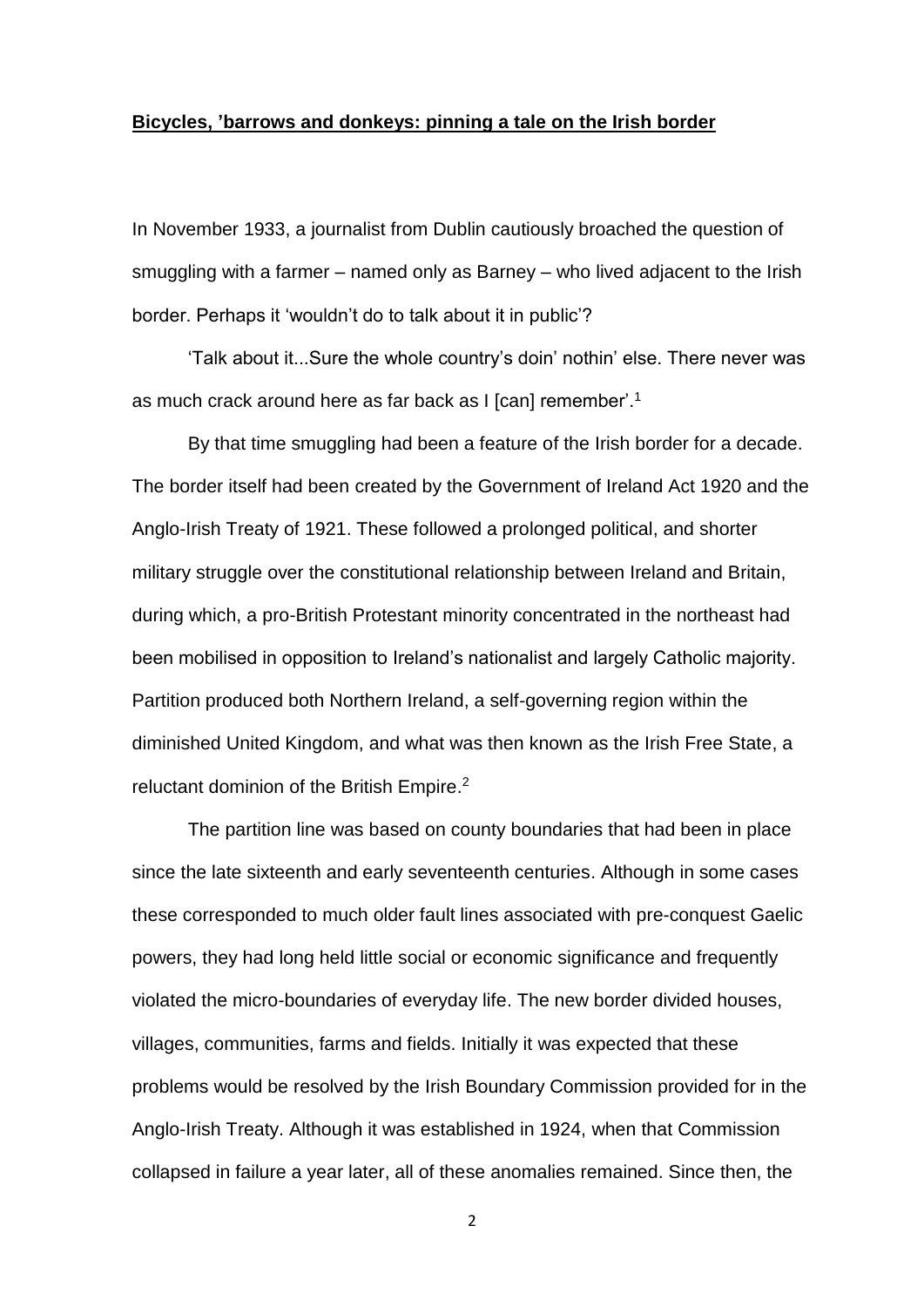#### **Bicycles, 'barrows and donkeys: pinning a tale on the Irish border**

In November 1933, a journalist from Dublin cautiously broached the question of smuggling with a farmer – named only as Barney – who lived adjacent to the Irish border. Perhaps it 'wouldn't do to talk about it in public'?

'Talk about it...Sure the whole country's doin' nothin' else. There never was as much crack around here as far back as I [can] remember'.<sup>1</sup>

By that time smuggling had been a feature of the Irish border for a decade. The border itself had been created by the Government of Ireland Act 1920 and the Anglo-Irish Treaty of 1921. These followed a prolonged political, and shorter military struggle over the constitutional relationship between Ireland and Britain, during which, a pro-British Protestant minority concentrated in the northeast had been mobilised in opposition to Ireland's nationalist and largely Catholic majority. Partition produced both Northern Ireland, a self-governing region within the diminished United Kingdom, and what was then known as the Irish Free State, a reluctant dominion of the British Empire.<sup>2</sup>

The partition line was based on county boundaries that had been in place since the late sixteenth and early seventeenth centuries. Although in some cases these corresponded to much older fault lines associated with pre-conquest Gaelic powers, they had long held little social or economic significance and frequently violated the micro-boundaries of everyday life. The new border divided houses, villages, communities, farms and fields. Initially it was expected that these problems would be resolved by the Irish Boundary Commission provided for in the Anglo-Irish Treaty. Although it was established in 1924, when that Commission collapsed in failure a year later, all of these anomalies remained. Since then, the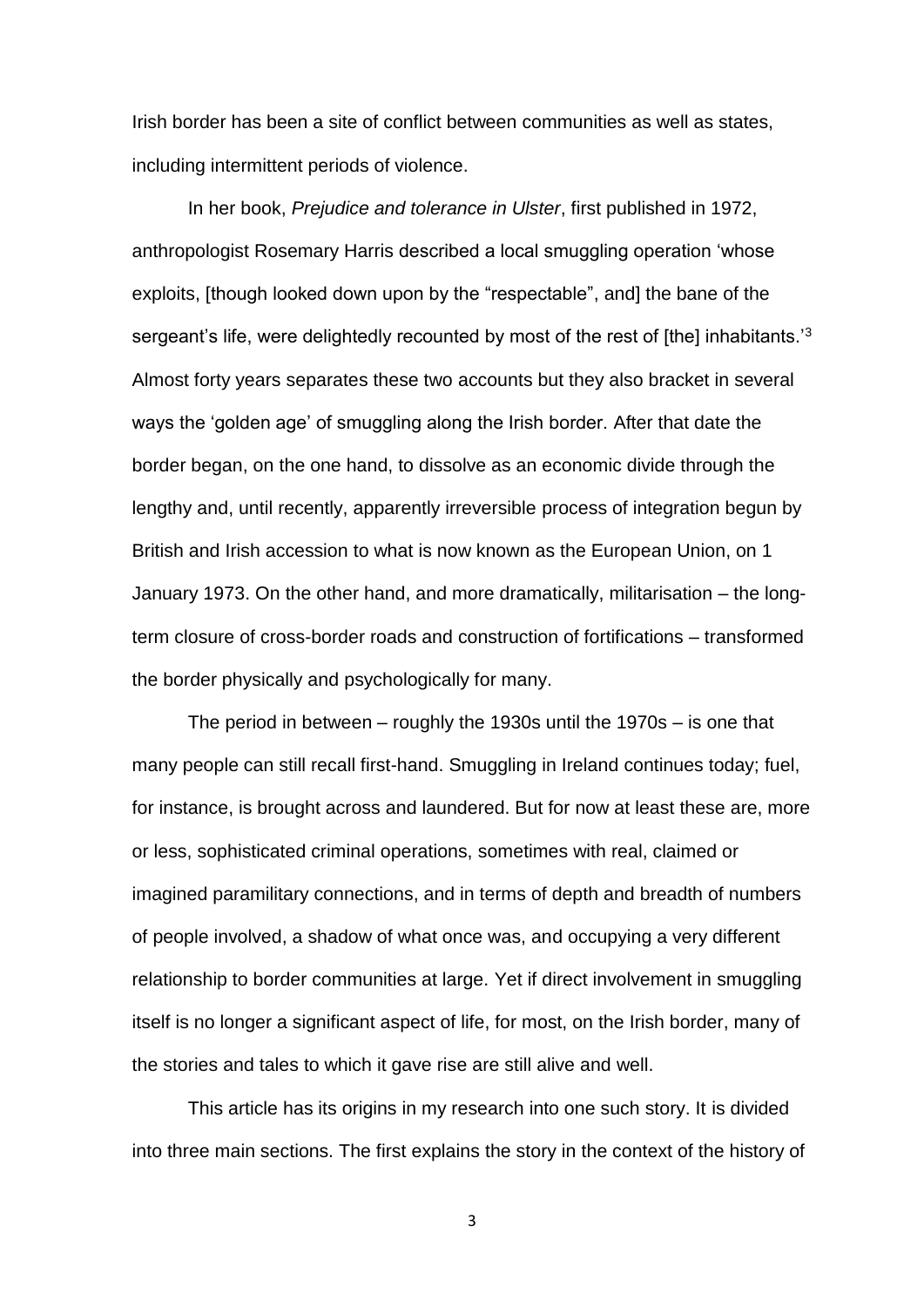Irish border has been a site of conflict between communities as well as states, including intermittent periods of violence.

In her book, *Prejudice and tolerance in Ulster*, first published in 1972, anthropologist Rosemary Harris described a local smuggling operation 'whose exploits, [though looked down upon by the "respectable", and] the bane of the sergeant's life, were delightedly recounted by most of the rest of [the] inhabitants.<sup>3</sup> Almost forty years separates these two accounts but they also bracket in several ways the 'golden age' of smuggling along the Irish border. After that date the border began, on the one hand, to dissolve as an economic divide through the lengthy and, until recently, apparently irreversible process of integration begun by British and Irish accession to what is now known as the European Union, on 1 January 1973. On the other hand, and more dramatically, militarisation – the longterm closure of cross-border roads and construction of fortifications – transformed the border physically and psychologically for many.

The period in between – roughly the 1930s until the 1970s – is one that many people can still recall first-hand. Smuggling in Ireland continues today; fuel, for instance, is brought across and laundered. But for now at least these are, more or less, sophisticated criminal operations, sometimes with real, claimed or imagined paramilitary connections, and in terms of depth and breadth of numbers of people involved, a shadow of what once was, and occupying a very different relationship to border communities at large. Yet if direct involvement in smuggling itself is no longer a significant aspect of life, for most, on the Irish border, many of the stories and tales to which it gave rise are still alive and well.

This article has its origins in my research into one such story. It is divided into three main sections. The first explains the story in the context of the history of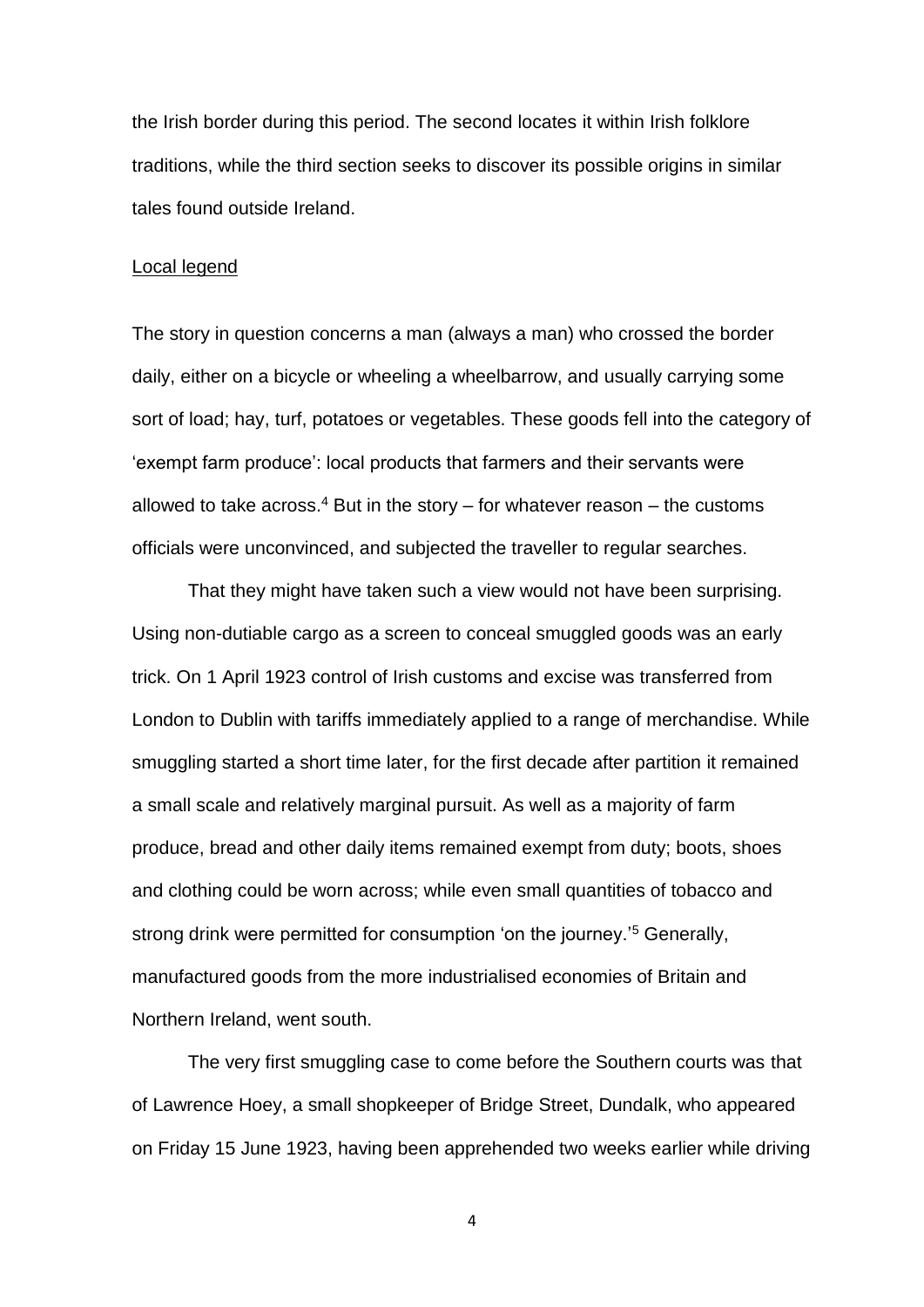the Irish border during this period. The second locates it within Irish folklore traditions, while the third section seeks to discover its possible origins in similar tales found outside Ireland.

## Local legend

The story in question concerns a man (always a man) who crossed the border daily, either on a bicycle or wheeling a wheelbarrow, and usually carrying some sort of load; hay, turf, potatoes or vegetables. These goods fell into the category of 'exempt farm produce': local products that farmers and their servants were allowed to take across.<sup>4</sup> But in the story – for whatever reason – the customs officials were unconvinced, and subjected the traveller to regular searches.

That they might have taken such a view would not have been surprising. Using non-dutiable cargo as a screen to conceal smuggled goods was an early trick. On 1 April 1923 control of Irish customs and excise was transferred from London to Dublin with tariffs immediately applied to a range of merchandise. While smuggling started a short time later, for the first decade after partition it remained a small scale and relatively marginal pursuit. As well as a majority of farm produce, bread and other daily items remained exempt from duty; boots, shoes and clothing could be worn across; while even small quantities of tobacco and strong drink were permitted for consumption 'on the journey.<sup>'5</sup> Generally, manufactured goods from the more industrialised economies of Britain and Northern Ireland, went south.

The very first smuggling case to come before the Southern courts was that of Lawrence Hoey, a small shopkeeper of Bridge Street, Dundalk, who appeared on Friday 15 June 1923, having been apprehended two weeks earlier while driving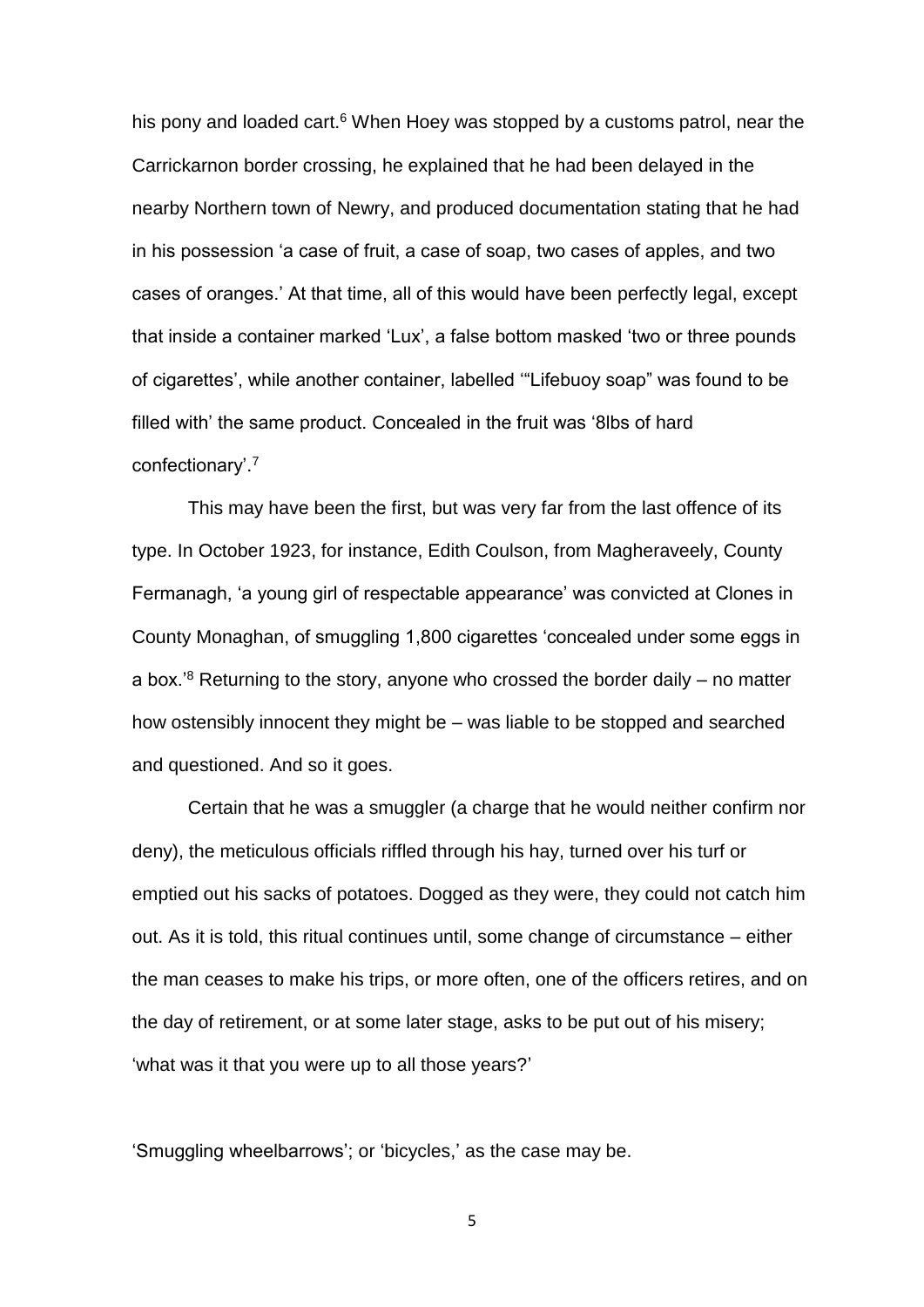his pony and loaded cart.<sup>6</sup> When Hoey was stopped by a customs patrol, near the Carrickarnon border crossing, he explained that he had been delayed in the nearby Northern town of Newry, and produced documentation stating that he had in his possession 'a case of fruit, a case of soap, two cases of apples, and two cases of oranges.' At that time, all of this would have been perfectly legal, except that inside a container marked 'Lux', a false bottom masked 'two or three pounds of cigarettes', while another container, labelled '"Lifebuoy soap" was found to be filled with' the same product. Concealed in the fruit was '8lbs of hard confectionary'.<sup>7</sup>

This may have been the first, but was very far from the last offence of its type. In October 1923, for instance, Edith Coulson, from Magheraveely, County Fermanagh, 'a young girl of respectable appearance' was convicted at Clones in County Monaghan, of smuggling 1,800 cigarettes 'concealed under some eggs in a box.<sup>8</sup> Returning to the story, anyone who crossed the border daily  $-$  no matter how ostensibly innocent they might be – was liable to be stopped and searched and questioned. And so it goes.

Certain that he was a smuggler (a charge that he would neither confirm nor deny), the meticulous officials riffled through his hay, turned over his turf or emptied out his sacks of potatoes. Dogged as they were, they could not catch him out. As it is told, this ritual continues until, some change of circumstance – either the man ceases to make his trips, or more often, one of the officers retires, and on the day of retirement, or at some later stage, asks to be put out of his misery; 'what was it that you were up to all those years?'

'Smuggling wheelbarrows'; or 'bicycles,' as the case may be.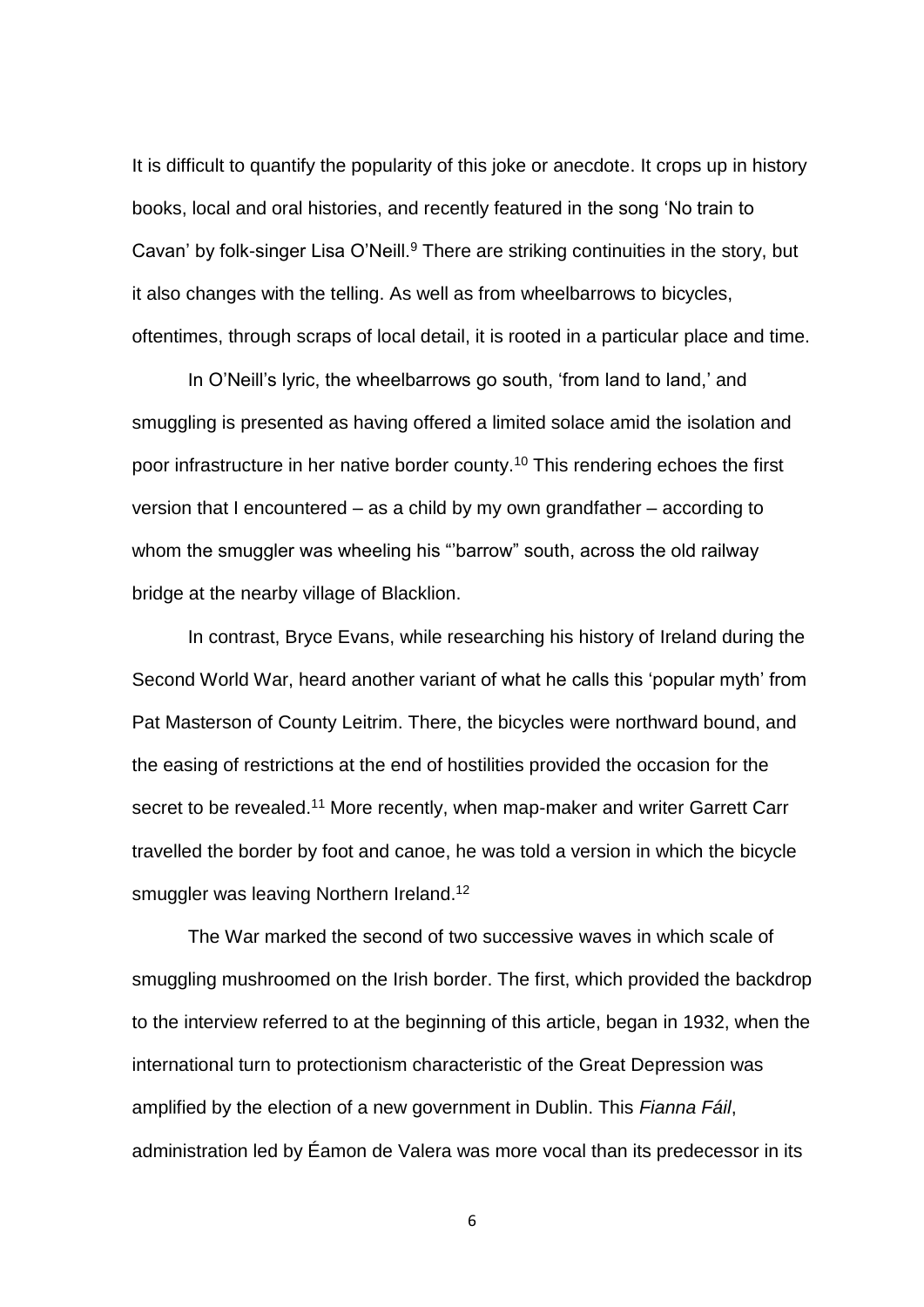It is difficult to quantify the popularity of this joke or anecdote. It crops up in history books, local and oral histories, and recently featured in the song 'No train to Cavan' by folk-singer Lisa O'Neill.<sup>9</sup> There are striking continuities in the story, but it also changes with the telling. As well as from wheelbarrows to bicycles, oftentimes, through scraps of local detail, it is rooted in a particular place and time.

In O'Neill's lyric, the wheelbarrows go south, 'from land to land,' and smuggling is presented as having offered a limited solace amid the isolation and poor infrastructure in her native border county.<sup>10</sup> This rendering echoes the first version that I encountered – as a child by my own grandfather – according to whom the smuggler was wheeling his "barrow" south, across the old railway bridge at the nearby village of Blacklion.

In contrast, Bryce Evans, while researching his history of Ireland during the Second World War, heard another variant of what he calls this 'popular myth' from Pat Masterson of County Leitrim. There, the bicycles were northward bound, and the easing of restrictions at the end of hostilities provided the occasion for the secret to be revealed.<sup>11</sup> More recently, when map-maker and writer Garrett Carr travelled the border by foot and canoe, he was told a version in which the bicycle smuggler was leaving Northern Ireland.<sup>12</sup>

The War marked the second of two successive waves in which scale of smuggling mushroomed on the Irish border. The first, which provided the backdrop to the interview referred to at the beginning of this article, began in 1932, when the international turn to protectionism characteristic of the Great Depression was amplified by the election of a new government in Dublin. This *Fianna Fáil*, administration led by Éamon de Valera was more vocal than its predecessor in its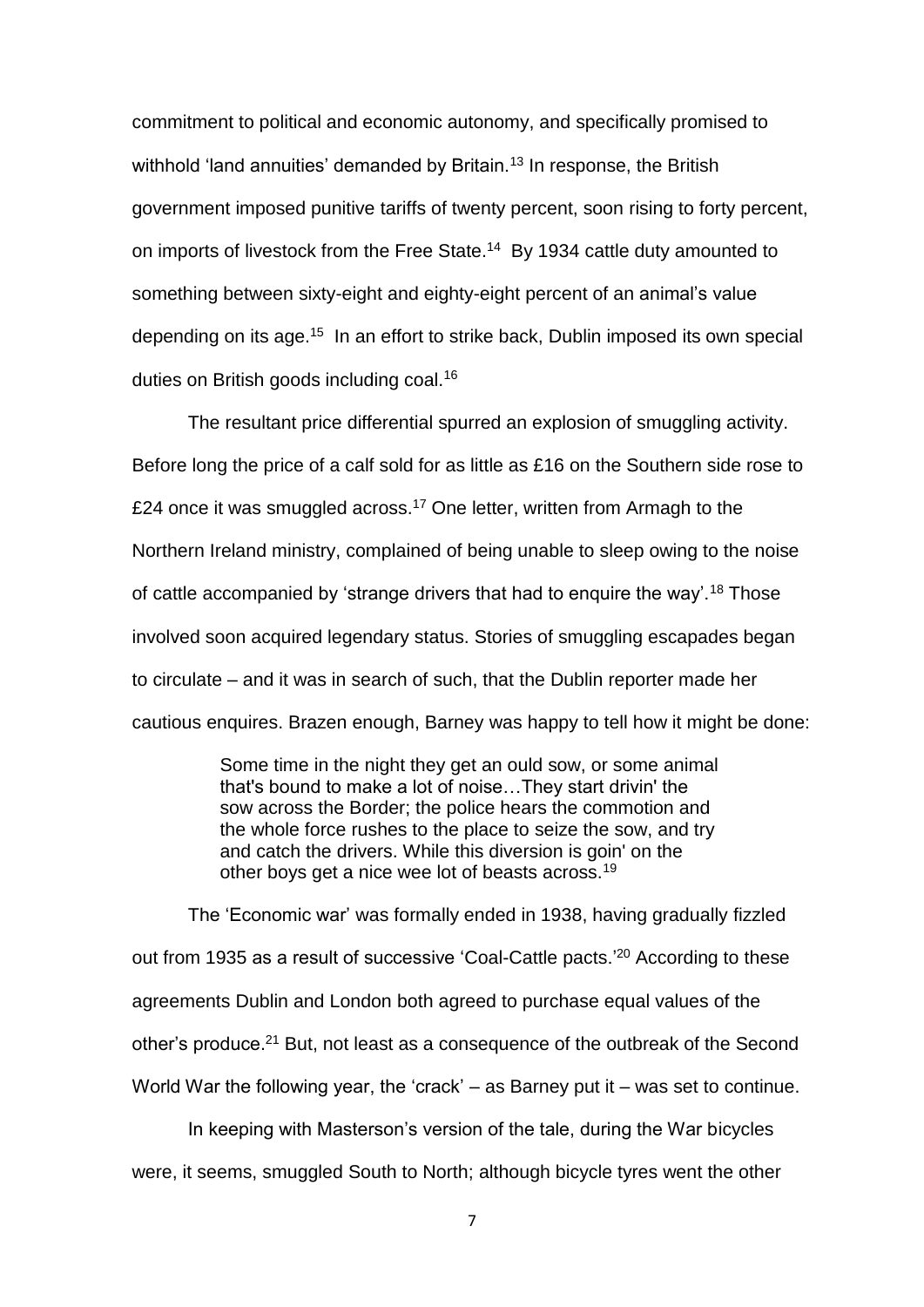commitment to political and economic autonomy, and specifically promised to withhold 'land annuities' demanded by Britain.<sup>13</sup> In response, the British government imposed punitive tariffs of twenty percent, soon rising to forty percent, on imports of livestock from the Free State.<sup>14</sup> By 1934 cattle duty amounted to something between sixty-eight and eighty-eight percent of an animal's value depending on its age.<sup>15</sup> In an effort to strike back, Dublin imposed its own special duties on British goods including coal.<sup>16</sup>

The resultant price differential spurred an explosion of smuggling activity. Before long the price of a calf sold for as little as £16 on the Southern side rose to £24 once it was smuggled across.<sup>17</sup> One letter, written from Armagh to the Northern Ireland ministry, complained of being unable to sleep owing to the noise of cattle accompanied by 'strange drivers that had to enquire the way'.<sup>18</sup> Those involved soon acquired legendary status. Stories of smuggling escapades began to circulate – and it was in search of such, that the Dublin reporter made her cautious enquires. Brazen enough, Barney was happy to tell how it might be done:

> Some time in the night they get an ould sow, or some animal that's bound to make a lot of noise…They start drivin' the sow across the Border; the police hears the commotion and the whole force rushes to the place to seize the sow, and try and catch the drivers. While this diversion is goin' on the other boys get a nice wee lot of beasts across.<sup>19</sup>

The 'Economic war' was formally ended in 1938, having gradually fizzled out from 1935 as a result of successive 'Coal-Cattle pacts.<sup>'20</sup> According to these agreements Dublin and London both agreed to purchase equal values of the other's produce.<sup>21</sup> But, not least as a consequence of the outbreak of the Second World War the following year, the 'crack' – as Barney put it – was set to continue.

In keeping with Masterson's version of the tale, during the War bicycles were, it seems, smuggled South to North; although bicycle tyres went the other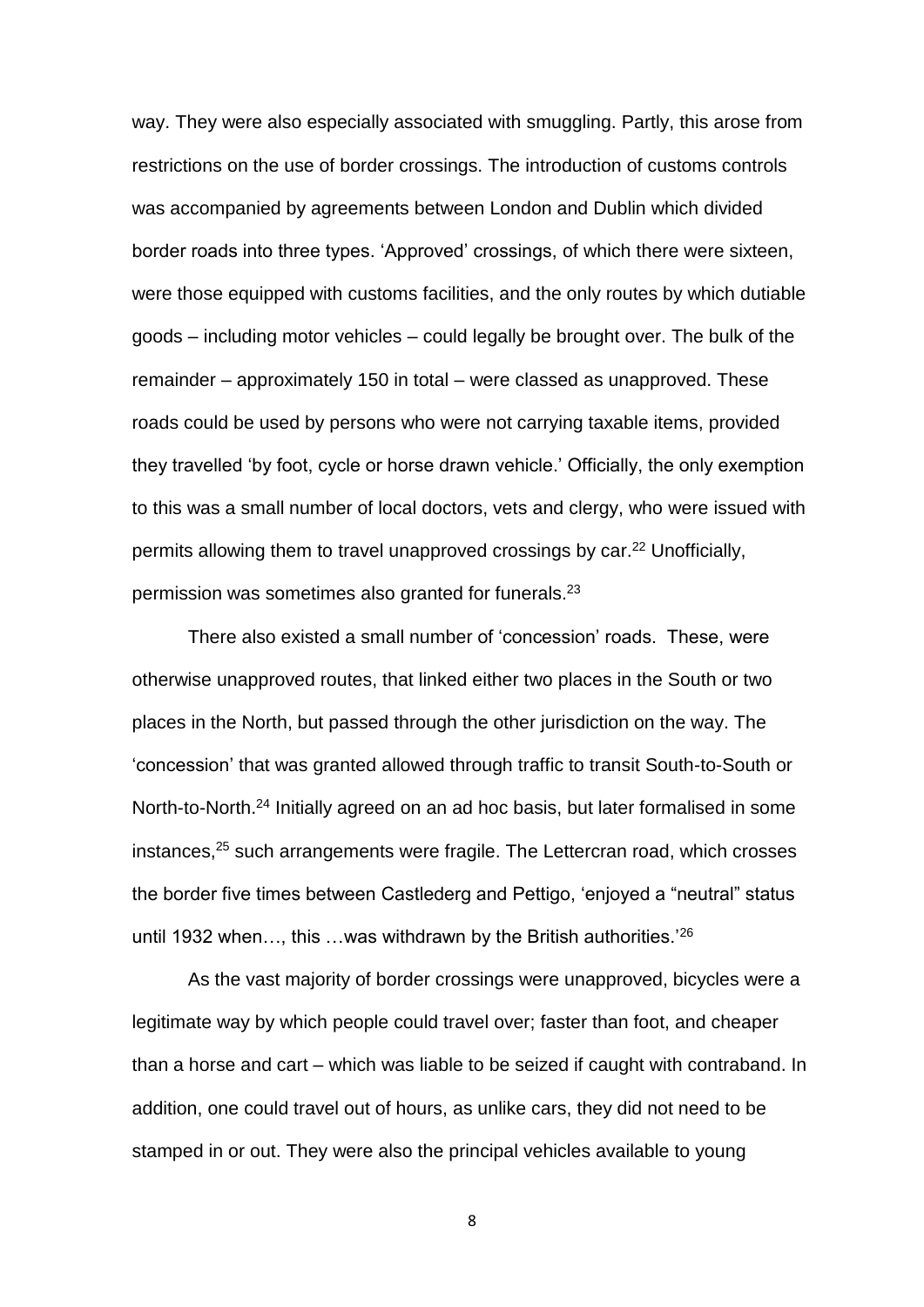way. They were also especially associated with smuggling. Partly, this arose from restrictions on the use of border crossings. The introduction of customs controls was accompanied by agreements between London and Dublin which divided border roads into three types. 'Approved' crossings, of which there were sixteen, were those equipped with customs facilities, and the only routes by which dutiable goods – including motor vehicles – could legally be brought over. The bulk of the remainder – approximately 150 in total – were classed as unapproved. These roads could be used by persons who were not carrying taxable items, provided they travelled 'by foot, cycle or horse drawn vehicle.' Officially, the only exemption to this was a small number of local doctors, vets and clergy, who were issued with permits allowing them to travel unapproved crossings by car.<sup>22</sup> Unofficially, permission was sometimes also granted for funerals.<sup>23</sup>

There also existed a small number of 'concession' roads. These, were otherwise unapproved routes, that linked either two places in the South or two places in the North, but passed through the other jurisdiction on the way. The 'concession' that was granted allowed through traffic to transit South-to-South or North-to-North.<sup>24</sup> Initially agreed on an ad hoc basis, but later formalised in some instances,<sup>25</sup> such arrangements were fragile. The Lettercran road, which crosses the border five times between Castlederg and Pettigo, 'enjoyed a "neutral" status until 1932 when $\ldots$ , this  $\ldots$  was withdrawn by the British authorities.<sup>'26</sup>

As the vast majority of border crossings were unapproved, bicycles were a legitimate way by which people could travel over; faster than foot, and cheaper than a horse and cart – which was liable to be seized if caught with contraband. In addition, one could travel out of hours, as unlike cars, they did not need to be stamped in or out. They were also the principal vehicles available to young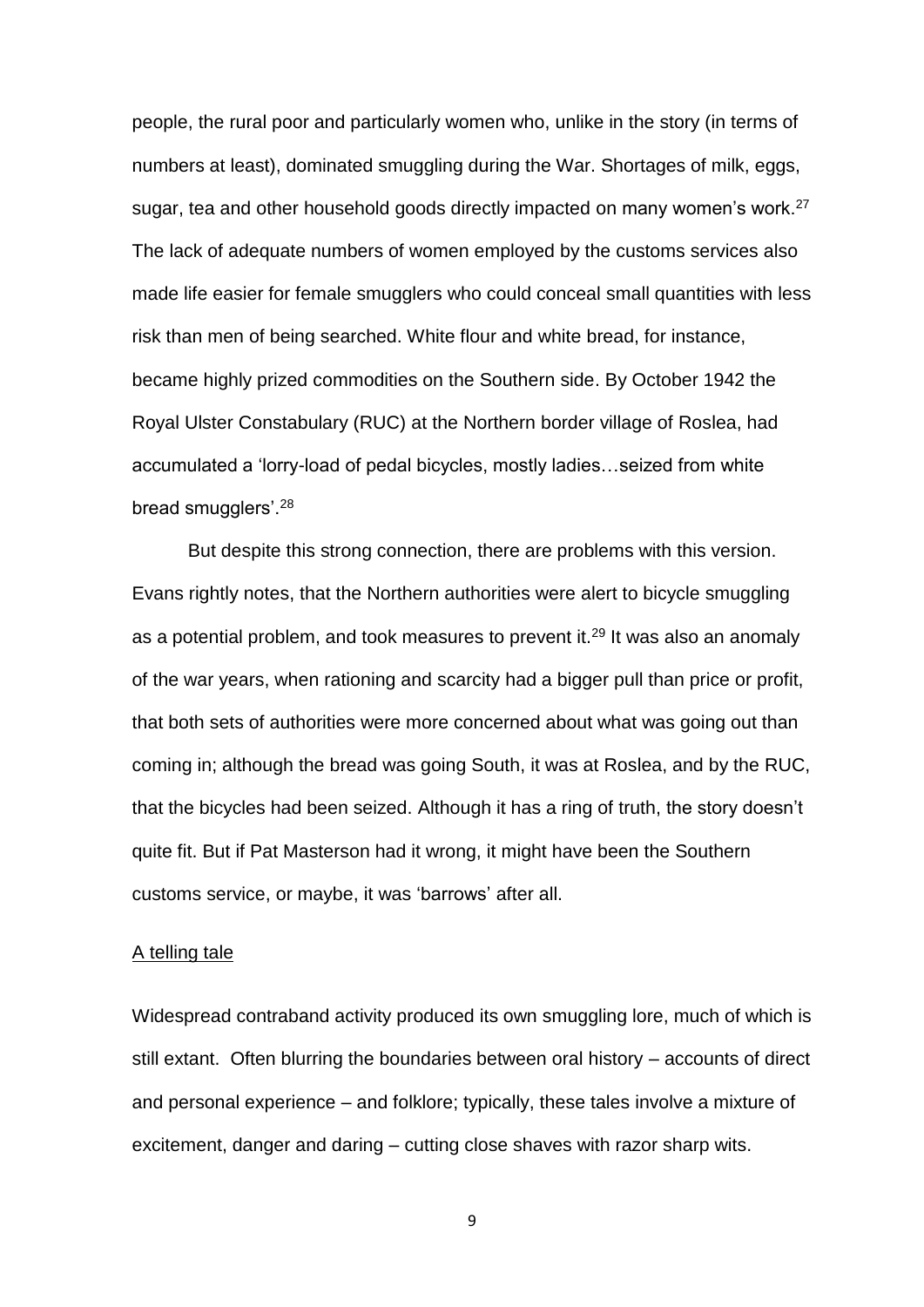people, the rural poor and particularly women who, unlike in the story (in terms of numbers at least), dominated smuggling during the War. Shortages of milk, eggs, sugar, tea and other household goods directly impacted on many women's work.<sup>27</sup> The lack of adequate numbers of women employed by the customs services also made life easier for female smugglers who could conceal small quantities with less risk than men of being searched. White flour and white bread, for instance, became highly prized commodities on the Southern side. By October 1942 the Royal Ulster Constabulary (RUC) at the Northern border village of Roslea, had accumulated a 'lorry-load of pedal bicycles, mostly ladies…seized from white bread smugglers'.<sup>28</sup>

But despite this strong connection, there are problems with this version. Evans rightly notes, that the Northern authorities were alert to bicycle smuggling as a potential problem, and took measures to prevent it.<sup>29</sup> It was also an anomaly of the war years, when rationing and scarcity had a bigger pull than price or profit, that both sets of authorities were more concerned about what was going out than coming in; although the bread was going South, it was at Roslea, and by the RUC, that the bicycles had been seized. Although it has a ring of truth, the story doesn't quite fit. But if Pat Masterson had it wrong, it might have been the Southern customs service, or maybe, it was 'barrows' after all.

#### A telling tale

Widespread contraband activity produced its own smuggling lore, much of which is still extant. Often blurring the boundaries between oral history – accounts of direct and personal experience – and folklore; typically, these tales involve a mixture of excitement, danger and daring – cutting close shaves with razor sharp wits.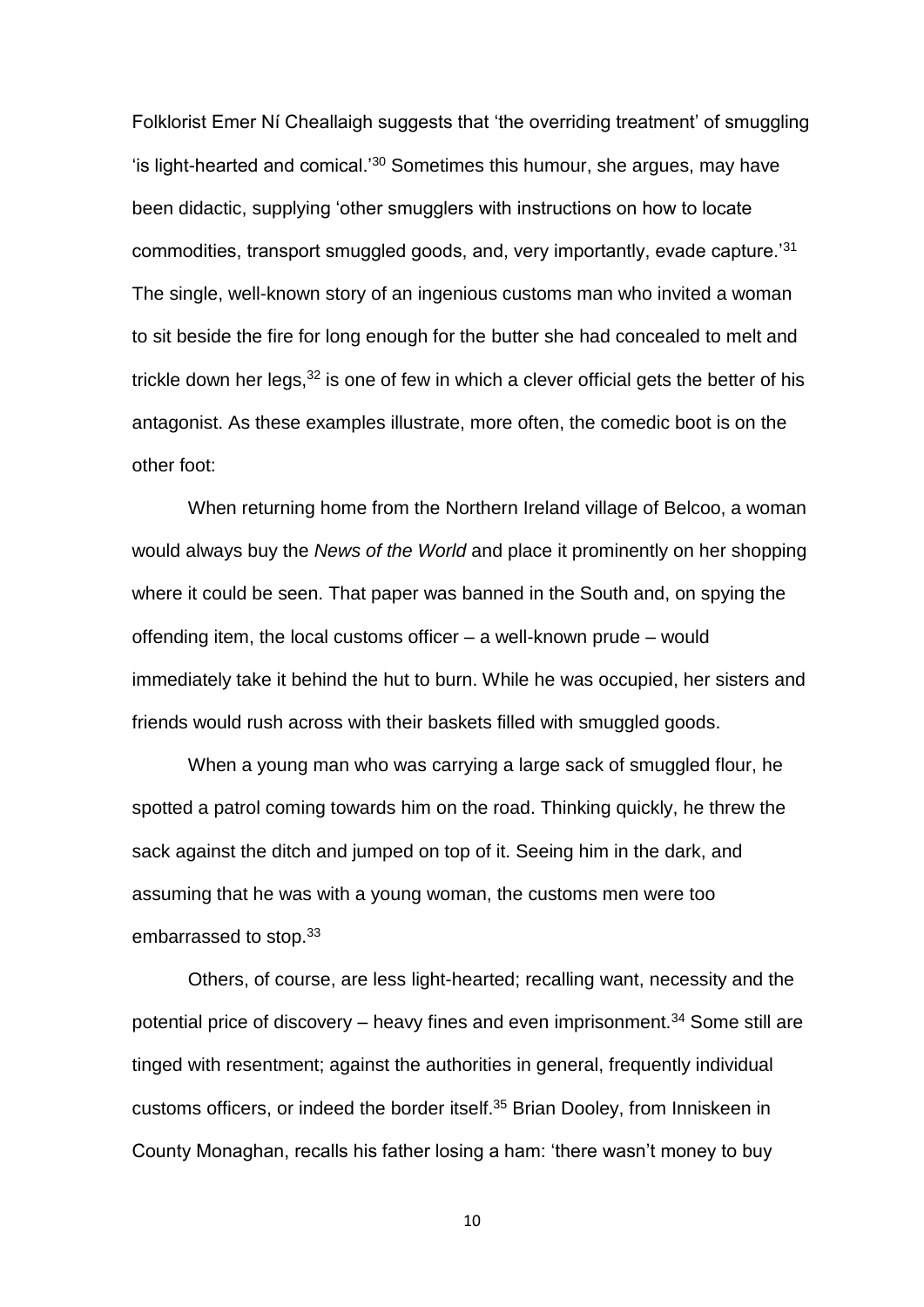Folklorist Emer Ní Cheallaigh suggests that 'the overriding treatment' of smuggling 'is light-hearted and comical.'<sup>30</sup> Sometimes this humour, she argues, may have been didactic, supplying 'other smugglers with instructions on how to locate commodities, transport smuggled goods, and, very importantly, evade capture.'<sup>31</sup> The single, well-known story of an ingenious customs man who invited a woman to sit beside the fire for long enough for the butter she had concealed to melt and trickle down her legs,  $32$  is one of few in which a clever official gets the better of his antagonist. As these examples illustrate, more often, the comedic boot is on the other foot:

When returning home from the Northern Ireland village of Belcoo, a woman would always buy the *News of the World* and place it prominently on her shopping where it could be seen. That paper was banned in the South and, on spying the offending item, the local customs officer – a well-known prude – would immediately take it behind the hut to burn. While he was occupied, her sisters and friends would rush across with their baskets filled with smuggled goods.

When a young man who was carrying a large sack of smuggled flour, he spotted a patrol coming towards him on the road. Thinking quickly, he threw the sack against the ditch and jumped on top of it. Seeing him in the dark, and assuming that he was with a young woman, the customs men were too embarrassed to stop.<sup>33</sup>

Others, of course, are less light-hearted; recalling want, necessity and the potential price of discovery – heavy fines and even imprisonment.<sup>34</sup> Some still are tinged with resentment; against the authorities in general, frequently individual customs officers, or indeed the border itself.<sup>35</sup> Brian Dooley, from Inniskeen in County Monaghan, recalls his father losing a ham: 'there wasn't money to buy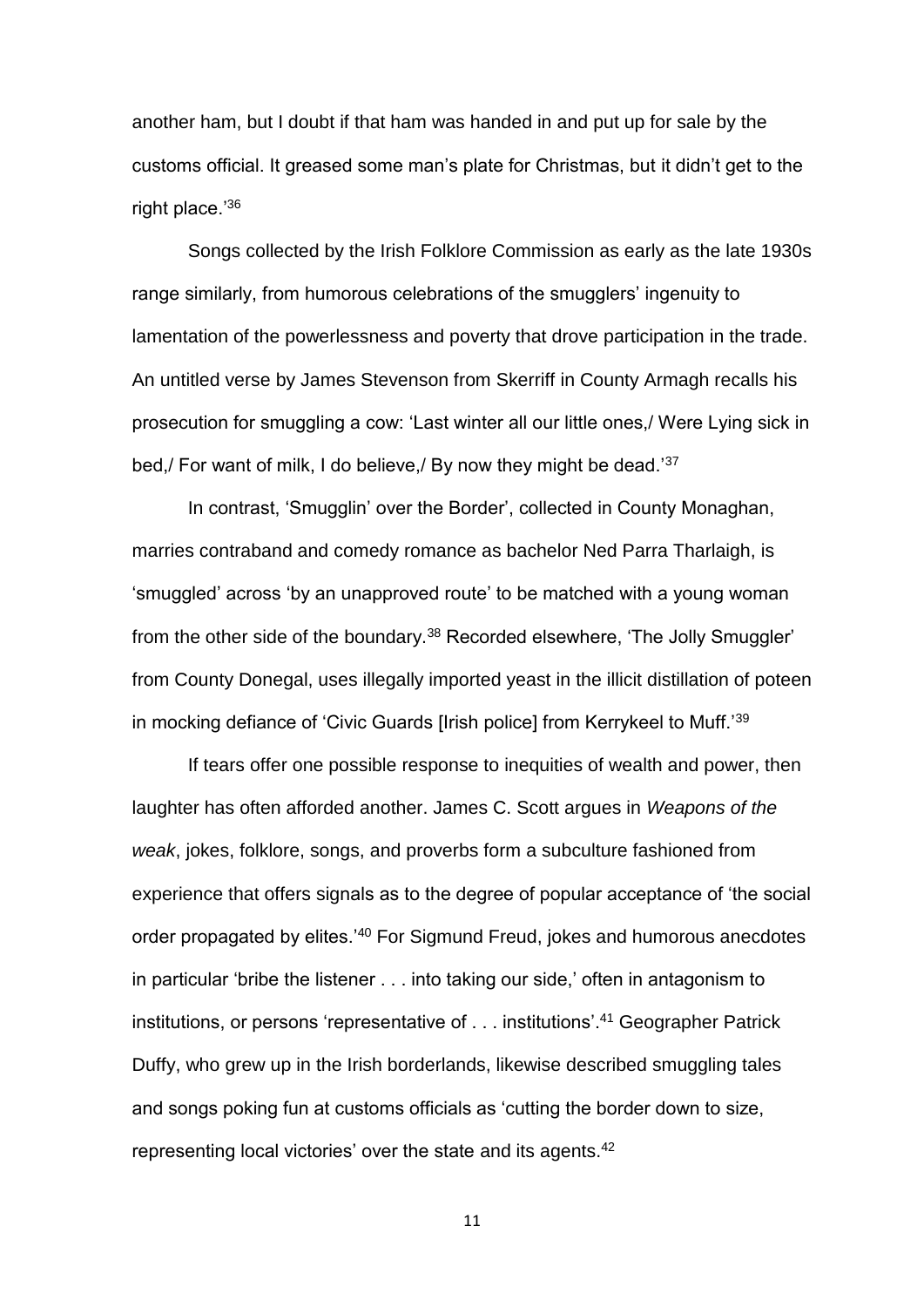another ham, but I doubt if that ham was handed in and put up for sale by the customs official. It greased some man's plate for Christmas, but it didn't get to the right place.'36

Songs collected by the Irish Folklore Commission as early as the late 1930s range similarly, from humorous celebrations of the smugglers' ingenuity to lamentation of the powerlessness and poverty that drove participation in the trade. An untitled verse by James Stevenson from Skerriff in County Armagh recalls his prosecution for smuggling a cow: 'Last winter all our little ones,/ Were Lying sick in bed,/ For want of milk, I do believe,/ By now they might be dead.<sup>'37</sup>

In contrast, 'Smugglin' over the Border', collected in County Monaghan, marries contraband and comedy romance as bachelor Ned Parra Tharlaigh, is 'smuggled' across 'by an unapproved route' to be matched with a young woman from the other side of the boundary.<sup>38</sup> Recorded elsewhere, 'The Jolly Smuggler' from County Donegal, uses illegally imported yeast in the illicit distillation of poteen in mocking defiance of 'Civic Guards [Irish police] from Kerrykeel to Muff.'<sup>39</sup>

If tears offer one possible response to inequities of wealth and power, then laughter has often afforded another. James C. Scott argues in *Weapons of the weak*, jokes, folklore, songs, and proverbs form a subculture fashioned from experience that offers signals as to the degree of popular acceptance of 'the social order propagated by elites.<sup>'40</sup> For Sigmund Freud, jokes and humorous anecdotes in particular 'bribe the listener . . . into taking our side,' often in antagonism to institutions, or persons 'representative of . . . institutions'.<sup>41</sup> Geographer Patrick Duffy, who grew up in the Irish borderlands, likewise described smuggling tales and songs poking fun at customs officials as 'cutting the border down to size, representing local victories' over the state and its agents.<sup>42</sup>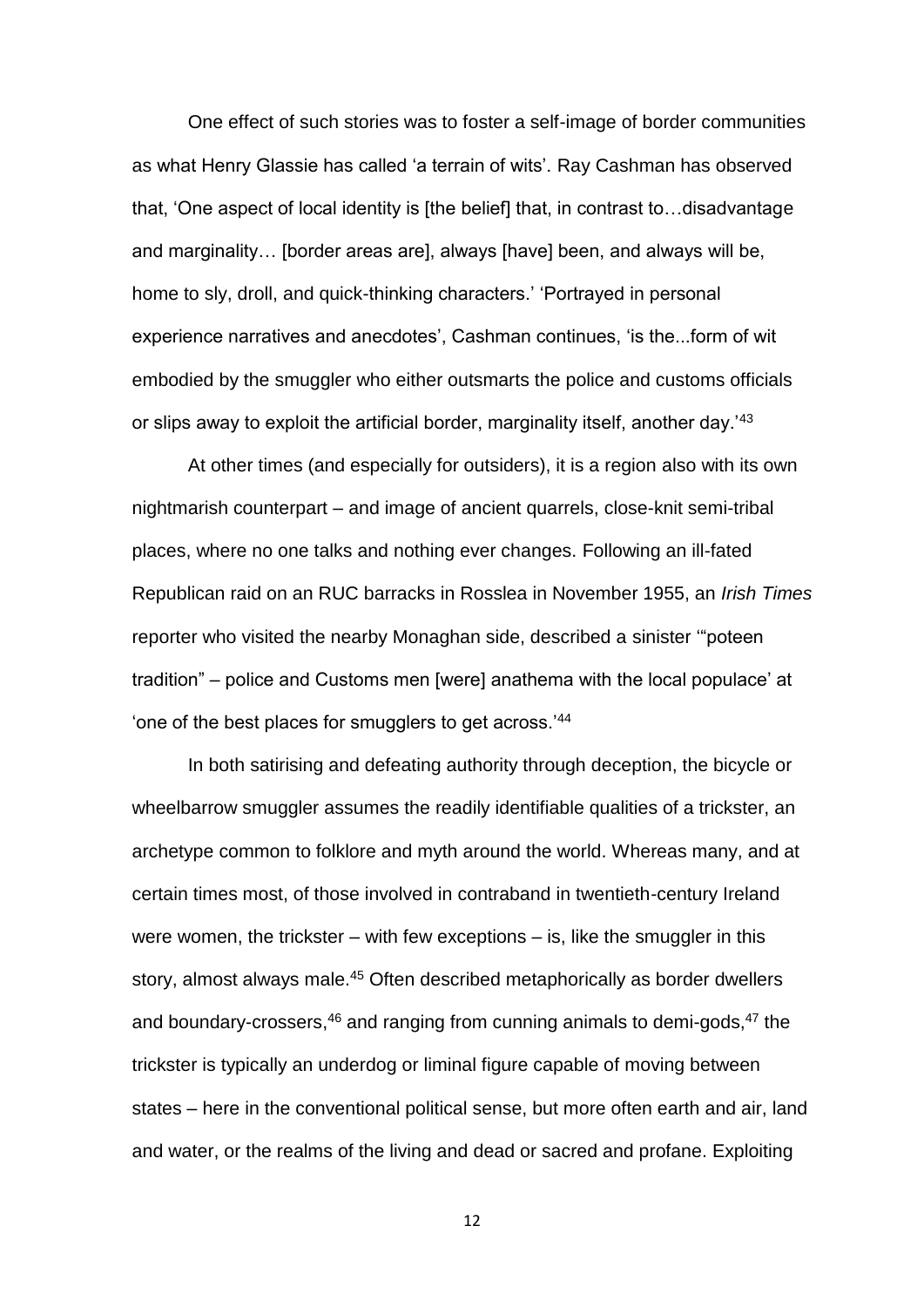One effect of such stories was to foster a self-image of border communities as what Henry Glassie has called 'a terrain of wits'. Ray Cashman has observed that, 'One aspect of local identity is [the belief] that, in contrast to…disadvantage and marginality… [border areas are], always [have] been, and always will be, home to sly, droll, and quick-thinking characters.' 'Portrayed in personal experience narratives and anecdotes', Cashman continues, 'is the...form of wit embodied by the smuggler who either outsmarts the police and customs officials or slips away to exploit the artificial border, marginality itself, another day.<sup>'43</sup>

At other times (and especially for outsiders), it is a region also with its own nightmarish counterpart – and image of ancient quarrels, close-knit semi-tribal places, where no one talks and nothing ever changes. Following an ill-fated Republican raid on an RUC barracks in Rosslea in November 1955, an *Irish Times* reporter who visited the nearby Monaghan side, described a sinister '"poteen tradition" – police and Customs men [were] anathema with the local populace' at 'one of the best places for smugglers to get across.'<sup>44</sup>

In both satirising and defeating authority through deception, the bicycle or wheelbarrow smuggler assumes the readily identifiable qualities of a trickster, an archetype common to folklore and myth around the world. Whereas many, and at certain times most, of those involved in contraband in twentieth-century Ireland were women, the trickster – with few exceptions – is, like the smuggler in this story, almost always male.<sup>45</sup> Often described metaphorically as border dwellers and boundary-crossers,<sup>46</sup> and ranging from cunning animals to demi-gods,<sup>47</sup> the trickster is typically an underdog or liminal figure capable of moving between states – here in the conventional political sense, but more often earth and air, land and water, or the realms of the living and dead or sacred and profane. Exploiting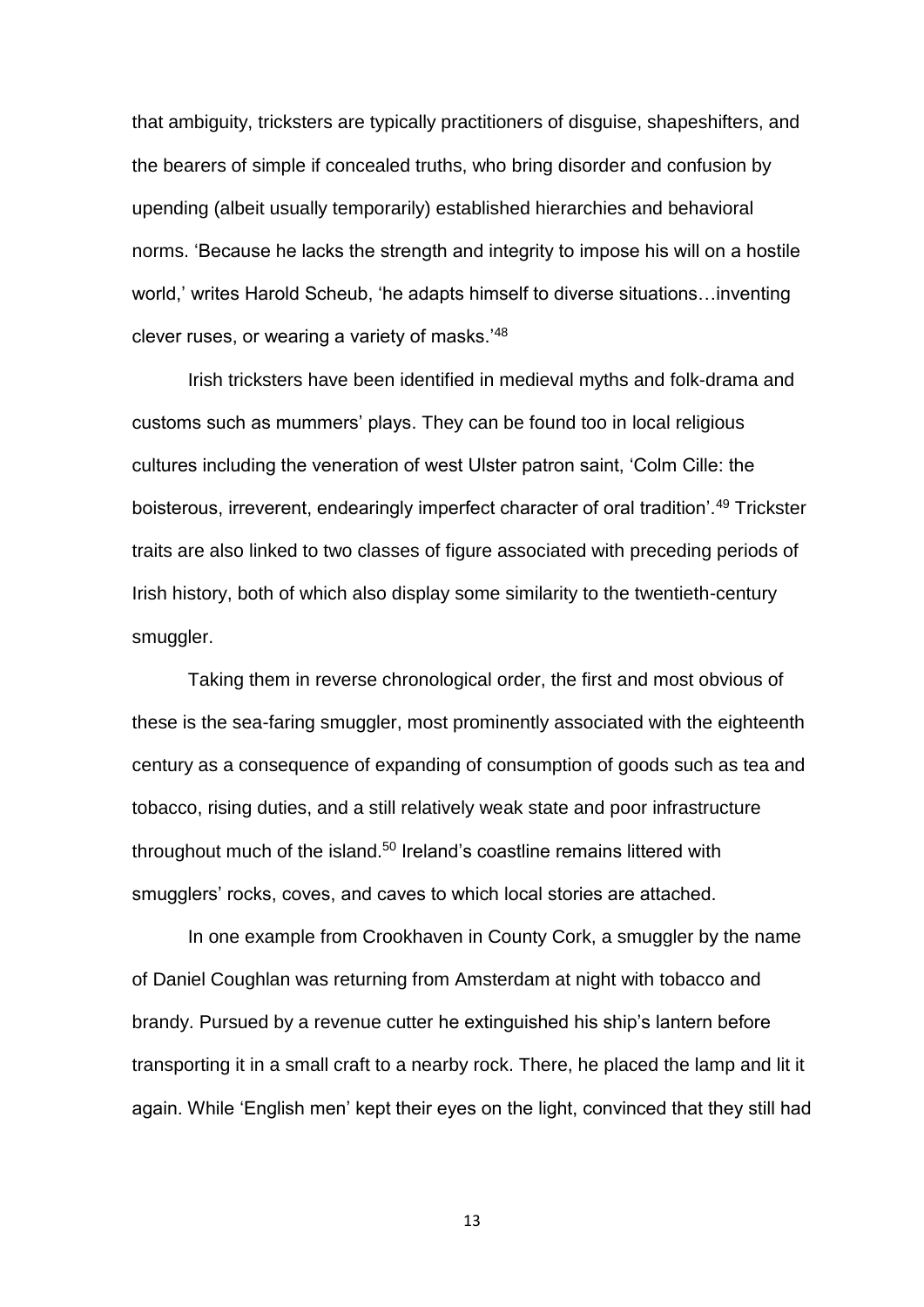that ambiguity, tricksters are typically practitioners of disguise, shapeshifters, and the bearers of simple if concealed truths, who bring disorder and confusion by upending (albeit usually temporarily) established hierarchies and behavioral norms. 'Because he lacks the strength and integrity to impose his will on a hostile world,' writes Harold Scheub, 'he adapts himself to diverse situations…inventing clever ruses, or wearing a variety of masks.'<sup>48</sup>

Irish tricksters have been identified in medieval myths and folk-drama and customs such as mummers' plays. They can be found too in local religious cultures including the veneration of west Ulster patron saint, 'Colm Cille: the boisterous, irreverent, endearingly imperfect character of oral tradition<sup>', 49</sup> Trickster traits are also linked to two classes of figure associated with preceding periods of Irish history, both of which also display some similarity to the twentieth-century smuggler.

Taking them in reverse chronological order, the first and most obvious of these is the sea-faring smuggler, most prominently associated with the eighteenth century as a consequence of expanding of consumption of goods such as tea and tobacco, rising duties, and a still relatively weak state and poor infrastructure throughout much of the island.<sup>50</sup> Ireland's coastline remains littered with smugglers' rocks, coves, and caves to which local stories are attached.

In one example from Crookhaven in County Cork, a smuggler by the name of Daniel Coughlan was returning from Amsterdam at night with tobacco and brandy. Pursued by a revenue cutter he extinguished his ship's lantern before transporting it in a small craft to a nearby rock. There, he placed the lamp and lit it again. While 'English men' kept their eyes on the light, convinced that they still had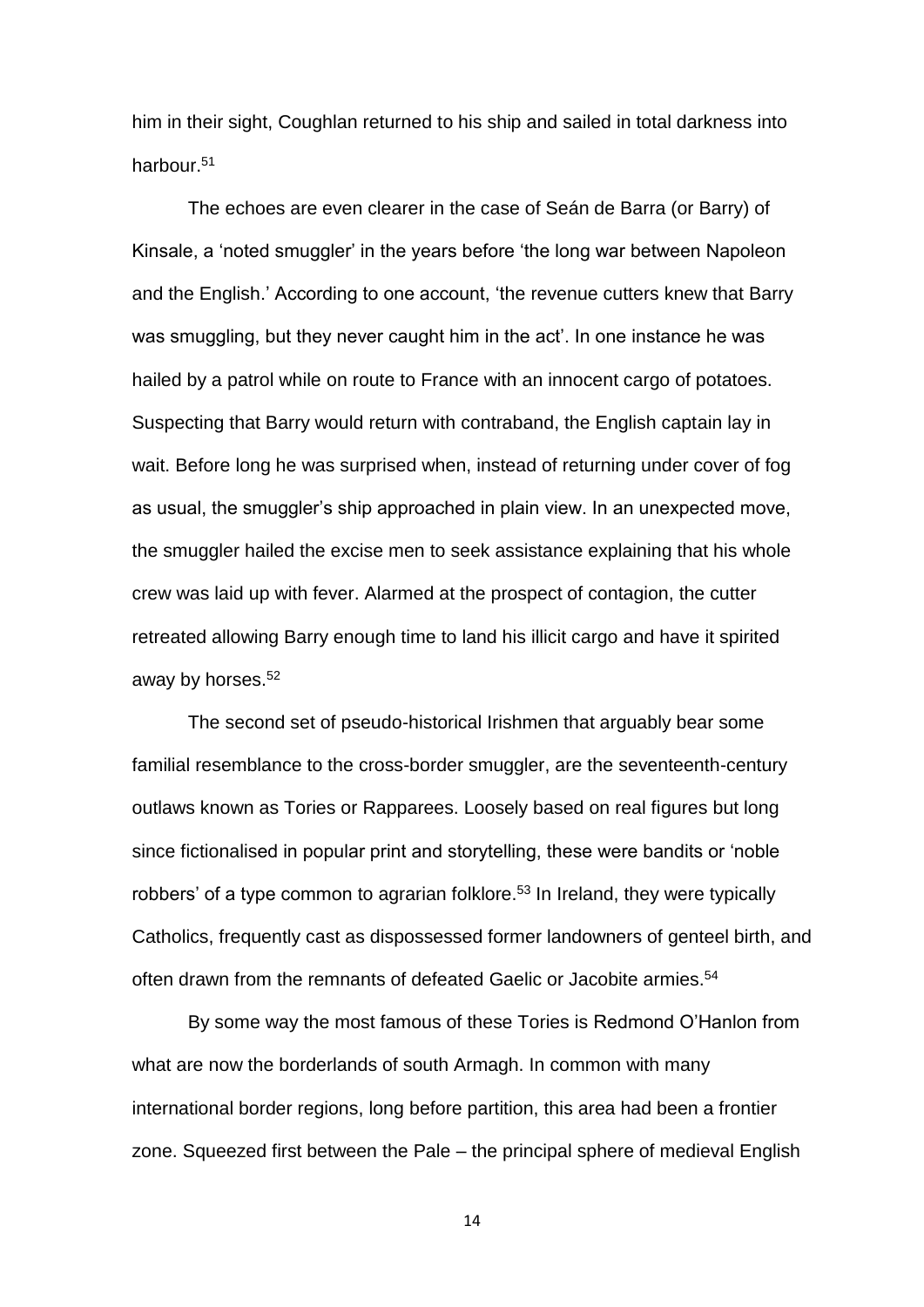him in their sight, Coughlan returned to his ship and sailed in total darkness into harbour.<sup>51</sup>

The echoes are even clearer in the case of Seán de Barra (or Barry) of Kinsale, a 'noted smuggler' in the years before 'the long war between Napoleon and the English.' According to one account, 'the revenue cutters knew that Barry was smuggling, but they never caught him in the act'. In one instance he was hailed by a patrol while on route to France with an innocent cargo of potatoes. Suspecting that Barry would return with contraband, the English captain lay in wait. Before long he was surprised when, instead of returning under cover of fog as usual, the smuggler's ship approached in plain view. In an unexpected move, the smuggler hailed the excise men to seek assistance explaining that his whole crew was laid up with fever. Alarmed at the prospect of contagion, the cutter retreated allowing Barry enough time to land his illicit cargo and have it spirited away by horses.<sup>52</sup>

The second set of pseudo-historical Irishmen that arguably bear some familial resemblance to the cross-border smuggler, are the seventeenth-century outlaws known as Tories or Rapparees. Loosely based on real figures but long since fictionalised in popular print and storytelling, these were bandits or 'noble robbers' of a type common to agrarian folklore.<sup>53</sup> In Ireland, they were typically Catholics, frequently cast as dispossessed former landowners of genteel birth, and often drawn from the remnants of defeated Gaelic or Jacobite armies. 54

By some way the most famous of these Tories is Redmond O'Hanlon from what are now the borderlands of south Armagh. In common with many international border regions, long before partition, this area had been a frontier zone. Squeezed first between the Pale – the principal sphere of medieval English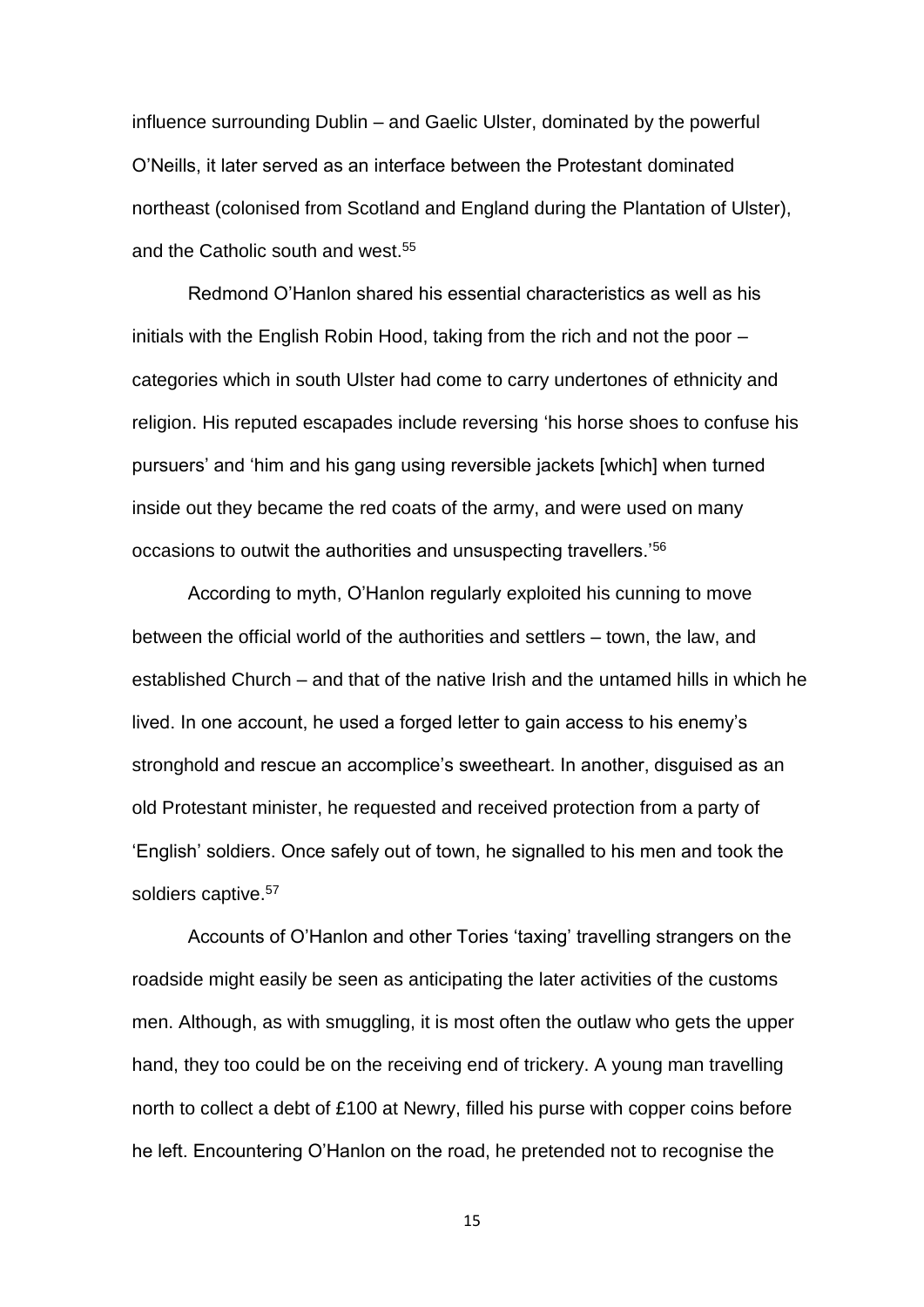influence surrounding Dublin – and Gaelic Ulster, dominated by the powerful O'Neills, it later served as an interface between the Protestant dominated northeast (colonised from Scotland and England during the Plantation of Ulster), and the Catholic south and west.<sup>55</sup>

Redmond O'Hanlon shared his essential characteristics as well as his initials with the English Robin Hood, taking from the rich and not the poor – categories which in south Ulster had come to carry undertones of ethnicity and religion. His reputed escapades include reversing 'his horse shoes to confuse his pursuers' and 'him and his gang using reversible jackets [which] when turned inside out they became the red coats of the army, and were used on many occasions to outwit the authorities and unsuspecting travellers.'<sup>56</sup>

According to myth, O'Hanlon regularly exploited his cunning to move between the official world of the authorities and settlers – town, the law, and established Church – and that of the native Irish and the untamed hills in which he lived. In one account, he used a forged letter to gain access to his enemy's stronghold and rescue an accomplice's sweetheart. In another, disguised as an old Protestant minister, he requested and received protection from a party of 'English' soldiers. Once safely out of town, he signalled to his men and took the soldiers captive.<sup>57</sup>

Accounts of O'Hanlon and other Tories 'taxing' travelling strangers on the roadside might easily be seen as anticipating the later activities of the customs men. Although, as with smuggling, it is most often the outlaw who gets the upper hand, they too could be on the receiving end of trickery. A young man travelling north to collect a debt of £100 at Newry, filled his purse with copper coins before he left. Encountering O'Hanlon on the road, he pretended not to recognise the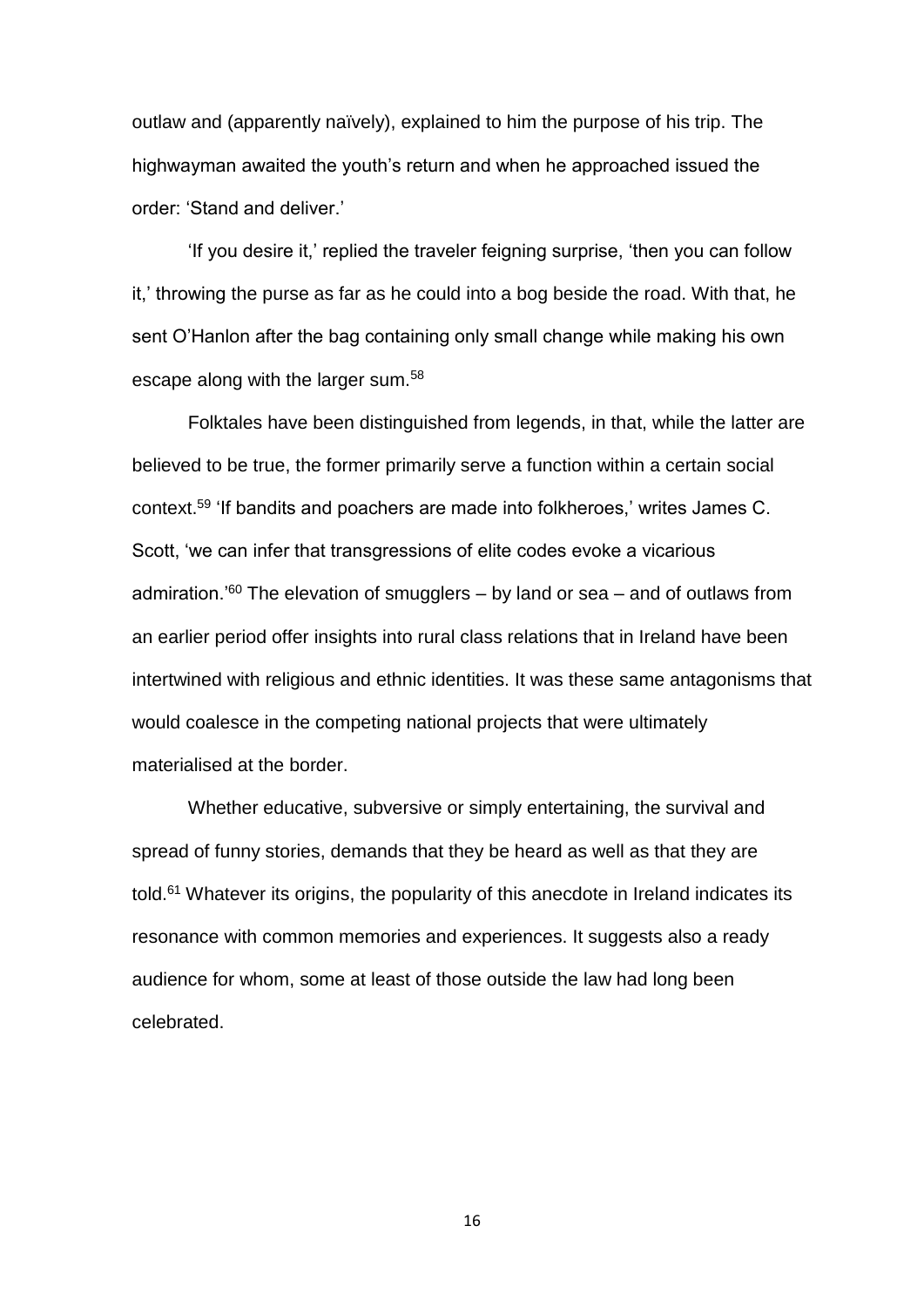outlaw and (apparently naïvely), explained to him the purpose of his trip. The highwayman awaited the youth's return and when he approached issued the order: 'Stand and deliver.'

'If you desire it,' replied the traveler feigning surprise, 'then you can follow it,' throwing the purse as far as he could into a bog beside the road. With that, he sent O'Hanlon after the bag containing only small change while making his own escape along with the larger sum.<sup>58</sup>

Folktales have been distinguished from legends, in that, while the latter are believed to be true, the former primarily serve a function within a certain social context.<sup>59</sup> 'If bandits and poachers are made into folkheroes,' writes James C. Scott, 'we can infer that transgressions of elite codes evoke a vicarious admiration.<sup>'60</sup> The elevation of smugglers  $-$  by land or sea  $-$  and of outlaws from an earlier period offer insights into rural class relations that in Ireland have been intertwined with religious and ethnic identities. It was these same antagonisms that would coalesce in the competing national projects that were ultimately materialised at the border.

Whether educative, subversive or simply entertaining, the survival and spread of funny stories, demands that they be heard as well as that they are told.<sup>61</sup> Whatever its origins, the popularity of this anecdote in Ireland indicates its resonance with common memories and experiences. It suggests also a ready audience for whom, some at least of those outside the law had long been celebrated.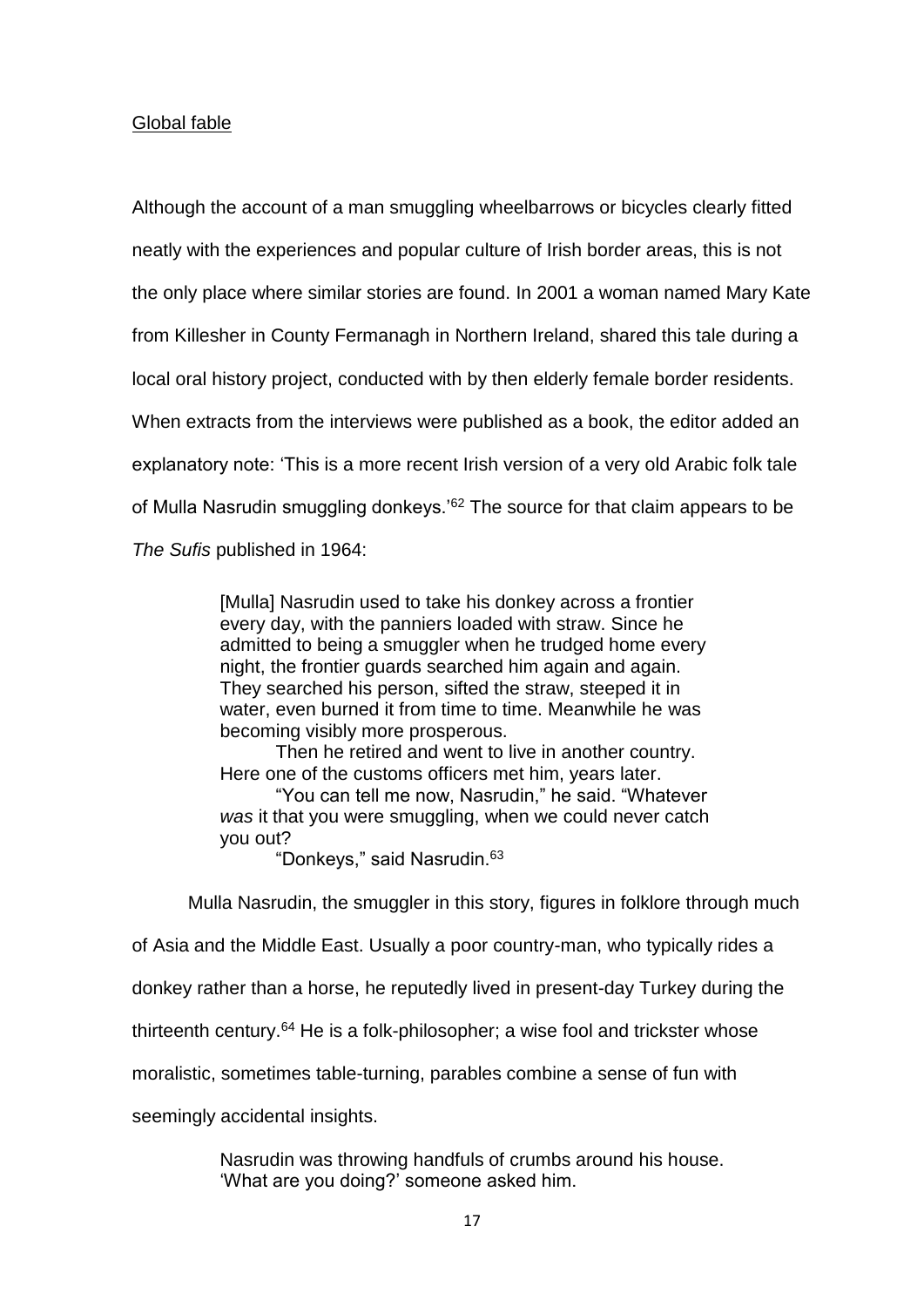## Global fable

Although the account of a man smuggling wheelbarrows or bicycles clearly fitted neatly with the experiences and popular culture of Irish border areas, this is not the only place where similar stories are found. In 2001 a woman named Mary Kate from Killesher in County Fermanagh in Northern Ireland, shared this tale during a local oral history project, conducted with by then elderly female border residents. When extracts from the interviews were published as a book, the editor added an explanatory note: 'This is a more recent Irish version of a very old Arabic folk tale of Mulla Nasrudin smuggling donkeys.<sup>'62</sup> The source for that claim appears to be *The Sufis* published in 1964:

> [Mulla] Nasrudin used to take his donkey across a frontier every day, with the panniers loaded with straw. Since he admitted to being a smuggler when he trudged home every night, the frontier guards searched him again and again. They searched his person, sifted the straw, steeped it in water, even burned it from time to time. Meanwhile he was becoming visibly more prosperous.

Then he retired and went to live in another country. Here one of the customs officers met him, years later.

"You can tell me now, Nasrudin," he said. "Whatever *was* it that you were smuggling, when we could never catch you out?

"Donkeys," said Nasrudin.<sup>63</sup>

Mulla Nasrudin, the smuggler in this story, figures in folklore through much

of Asia and the Middle East. Usually a poor country-man, who typically rides a

donkey rather than a horse, he reputedly lived in present-day Turkey during the

thirteenth century.<sup>64</sup> He is a folk-philosopher; a wise fool and trickster whose

moralistic, sometimes table-turning, parables combine a sense of fun with

seemingly accidental insights.

Nasrudin was throwing handfuls of crumbs around his house. 'What are you doing?' someone asked him.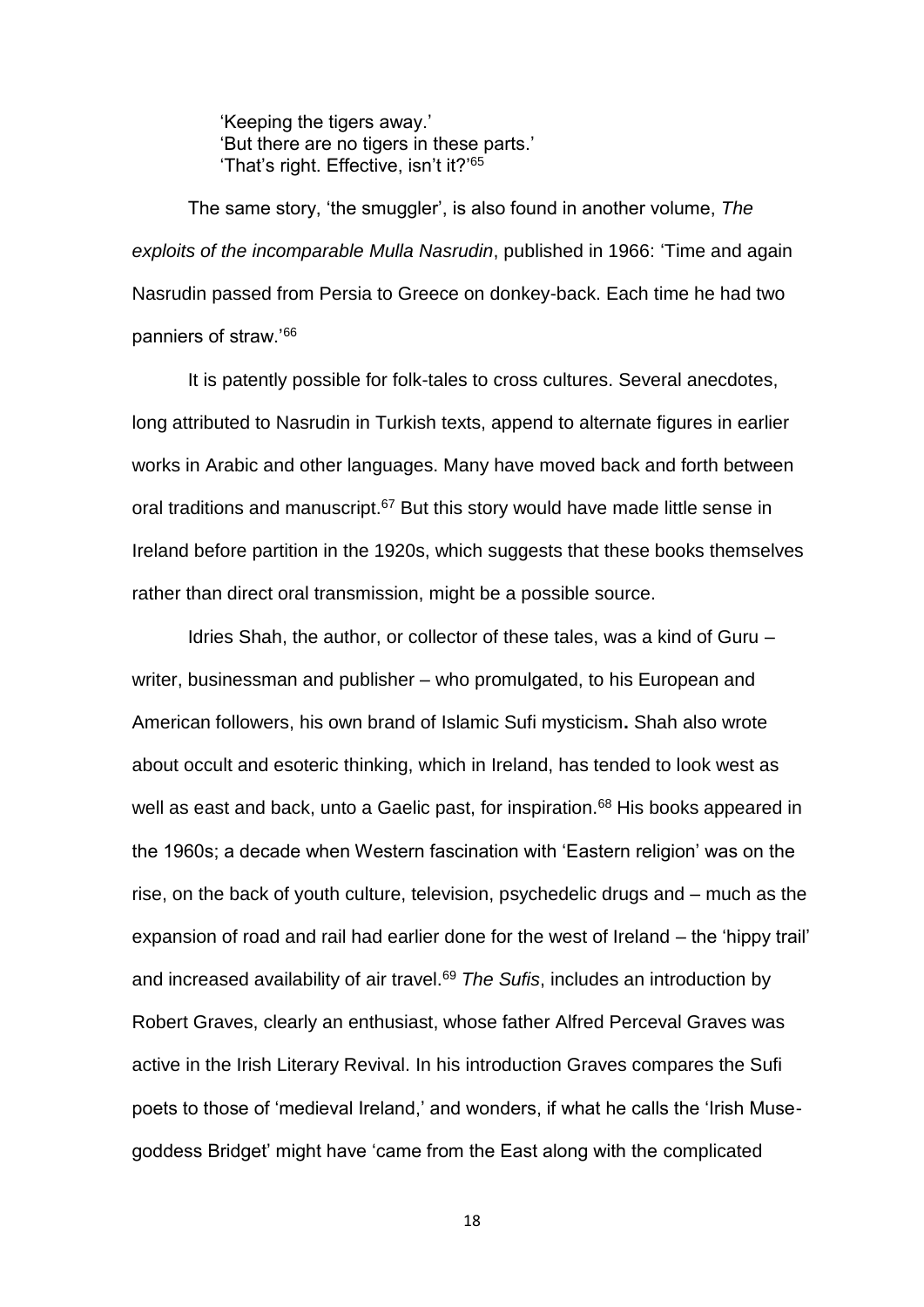'Keeping the tigers away.' 'But there are no tigers in these parts.' 'That's right. Effective, isn't it?'<sup>65</sup>

The same story, 'the smuggler', is also found in another volume, *The exploits of the incomparable Mulla Nasrudin*, published in 1966: 'Time and again Nasrudin passed from Persia to Greece on donkey-back. Each time he had two panniers of straw.'<sup>66</sup>

It is patently possible for folk-tales to cross cultures. Several anecdotes, long attributed to Nasrudin in Turkish texts, append to alternate figures in earlier works in Arabic and other languages. Many have moved back and forth between oral traditions and manuscript.<sup>67</sup> But this story would have made little sense in Ireland before partition in the 1920s, which suggests that these books themselves rather than direct oral transmission, might be a possible source.

Idries Shah, the author, or collector of these tales, was a kind of Guru – writer, businessman and publisher – who promulgated, to his European and American followers, his own brand of Islamic Sufi mysticism**.** Shah also wrote about occult and esoteric thinking, which in Ireland, has tended to look west as well as east and back, unto a Gaelic past, for inspiration.<sup>68</sup> His books appeared in the 1960s; a decade when Western fascination with 'Eastern religion' was on the rise, on the back of youth culture, television, psychedelic drugs and – much as the expansion of road and rail had earlier done for the west of Ireland – the 'hippy trail' and increased availability of air travel.<sup>69</sup> *The Sufis*, includes an introduction by Robert Graves, clearly an enthusiast, whose father Alfred Perceval Graves was active in the Irish Literary Revival. In his introduction Graves compares the Sufi poets to those of 'medieval Ireland,' and wonders, if what he calls the 'Irish Musegoddess Bridget' might have 'came from the East along with the complicated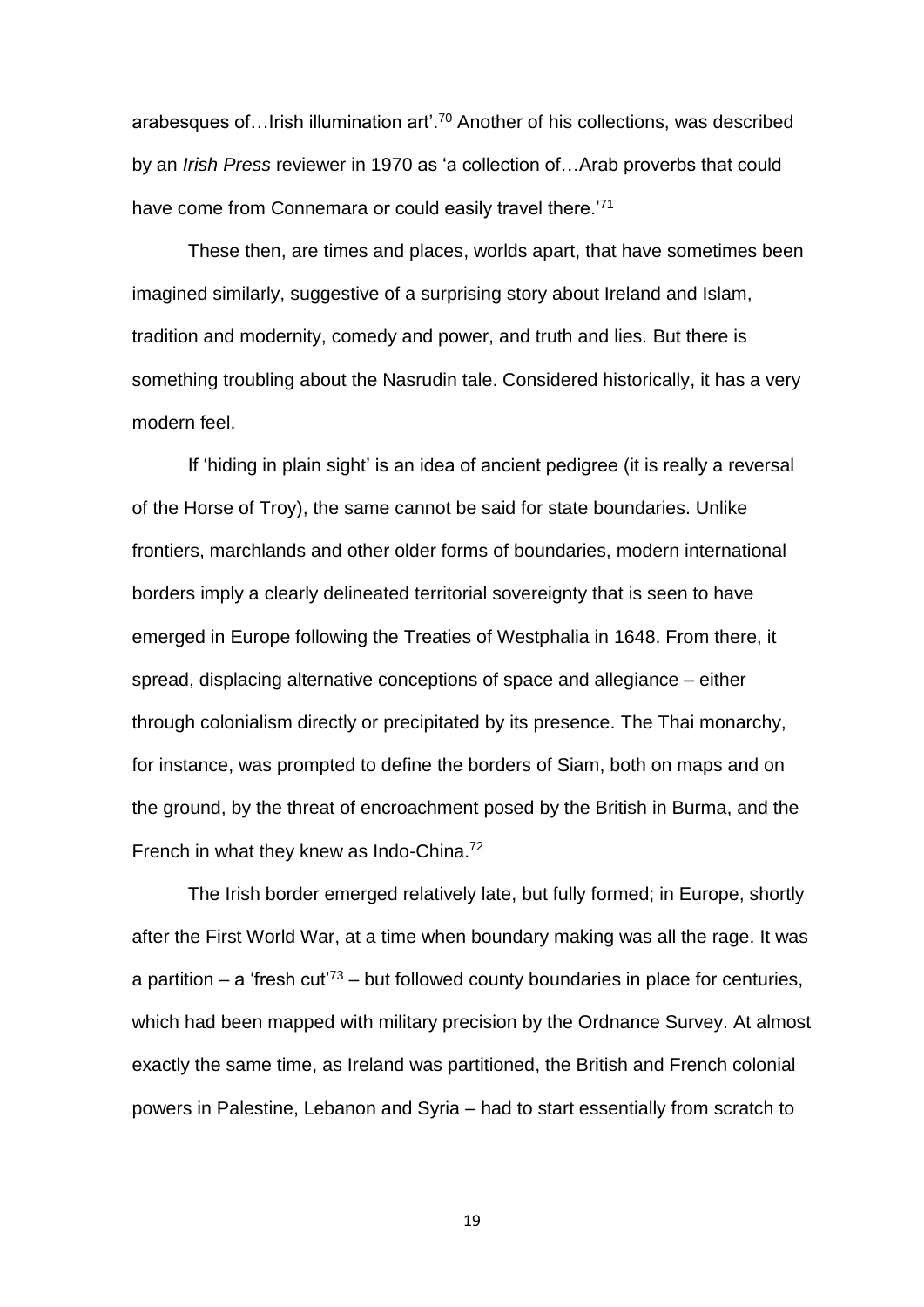arabesques of…Irish illumination art'.<sup>70</sup> Another of his collections, was described by an *Irish Press* reviewer in 1970 as 'a collection of…Arab proverbs that could have come from Connemara or could easily travel there.<sup>'71</sup>

These then, are times and places, worlds apart, that have sometimes been imagined similarly, suggestive of a surprising story about Ireland and Islam, tradition and modernity, comedy and power, and truth and lies. But there is something troubling about the Nasrudin tale. Considered historically, it has a very modern feel.

If 'hiding in plain sight' is an idea of ancient pedigree (it is really a reversal of the Horse of Troy), the same cannot be said for state boundaries. Unlike frontiers, marchlands and other older forms of boundaries, modern international borders imply a clearly delineated territorial sovereignty that is seen to have emerged in Europe following the Treaties of Westphalia in 1648. From there, it spread, displacing alternative conceptions of space and allegiance – either through colonialism directly or precipitated by its presence. The Thai monarchy, for instance, was prompted to define the borders of Siam, both on maps and on the ground, by the threat of encroachment posed by the British in Burma, and the French in what they knew as Indo-China.<sup>72</sup>

The Irish border emerged relatively late, but fully formed; in Europe, shortly after the First World War, at a time when boundary making was all the rage. It was a partition – a 'fresh cut<sup>'73</sup> – but followed county boundaries in place for centuries, which had been mapped with military precision by the Ordnance Survey. At almost exactly the same time, as Ireland was partitioned, the British and French colonial powers in Palestine, Lebanon and Syria – had to start essentially from scratch to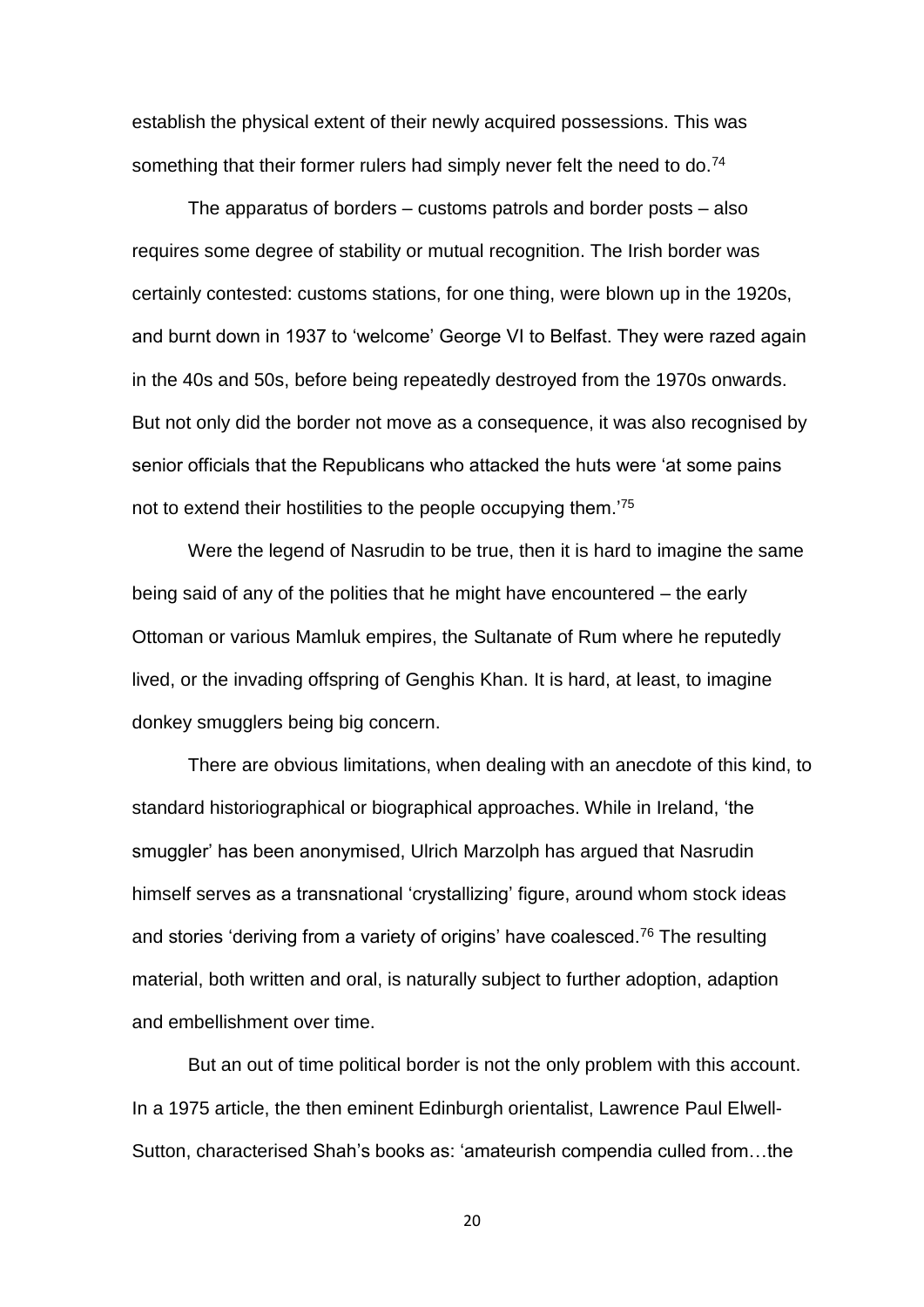establish the physical extent of their newly acquired possessions. This was something that their former rulers had simply never felt the need to do.<sup>74</sup>

The apparatus of borders – customs patrols and border posts – also requires some degree of stability or mutual recognition. The Irish border was certainly contested: customs stations, for one thing, were blown up in the 1920s, and burnt down in 1937 to 'welcome' George VI to Belfast. They were razed again in the 40s and 50s, before being repeatedly destroyed from the 1970s onwards. But not only did the border not move as a consequence, it was also recognised by senior officials that the Republicans who attacked the huts were 'at some pains not to extend their hostilities to the people occupying them.<sup>75</sup>

Were the legend of Nasrudin to be true, then it is hard to imagine the same being said of any of the polities that he might have encountered – the early Ottoman or various Mamluk empires, the Sultanate of Rum where he reputedly lived, or the invading offspring of Genghis Khan. It is hard, at least, to imagine donkey smugglers being big concern.

There are obvious limitations, when dealing with an anecdote of this kind, to standard historiographical or biographical approaches. While in Ireland, 'the smuggler' has been anonymised, Ulrich Marzolph has argued that Nasrudin himself serves as a transnational 'crystallizing' figure, around whom stock ideas and stories 'deriving from a variety of origins' have coalesced.<sup>76</sup> The resulting material, both written and oral, is naturally subject to further adoption, adaption and embellishment over time.

But an out of time political border is not the only problem with this account. In a 1975 article, the then eminent Edinburgh orientalist, Lawrence Paul Elwell-Sutton, characterised Shah's books as: 'amateurish compendia culled from…the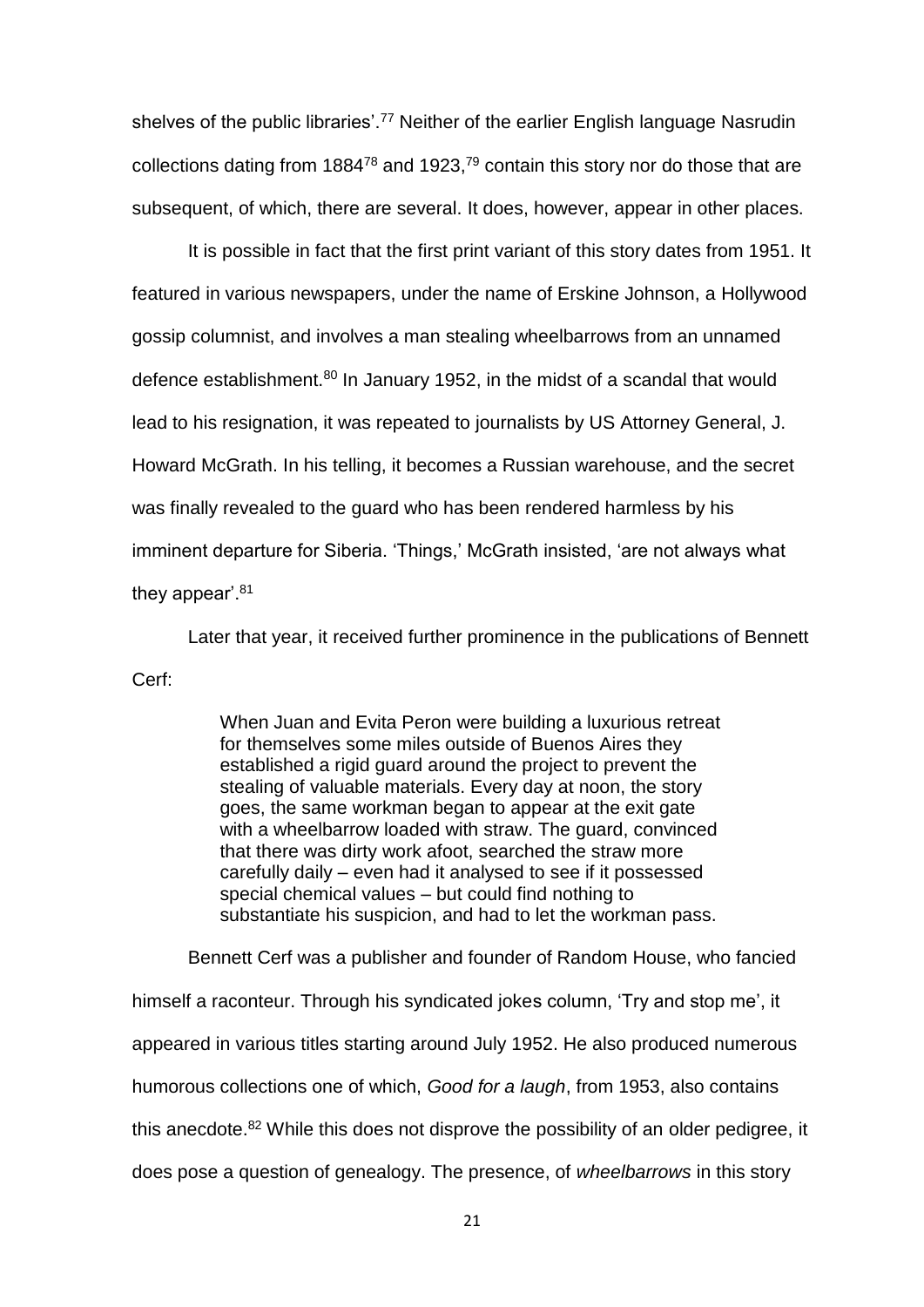shelves of the public libraries'.<sup>77</sup> Neither of the earlier English language Nasrudin collections dating from  $1884^{78}$  and  $1923<sup>79</sup>$  contain this story nor do those that are subsequent, of which, there are several. It does, however, appear in other places.

It is possible in fact that the first print variant of this story dates from 1951. It featured in various newspapers, under the name of Erskine Johnson, a Hollywood gossip columnist, and involves a man stealing wheelbarrows from an unnamed defence establishment.<sup>80</sup> In January 1952, in the midst of a scandal that would lead to his resignation, it was repeated to journalists by US Attorney General, J. Howard McGrath. In his telling, it becomes a Russian warehouse, and the secret was finally revealed to the guard who has been rendered harmless by his imminent departure for Siberia. 'Things,' McGrath insisted, 'are not always what they appear<sup>'.81</sup>

Later that year, it received further prominence in the publications of Bennett Cerf:

> When Juan and Evita Peron were building a luxurious retreat for themselves some miles outside of Buenos Aires they established a rigid guard around the project to prevent the stealing of valuable materials. Every day at noon, the story goes, the same workman began to appear at the exit gate with a wheelbarrow loaded with straw. The guard, convinced that there was dirty work afoot, searched the straw more carefully daily – even had it analysed to see if it possessed special chemical values – but could find nothing to substantiate his suspicion, and had to let the workman pass.

Bennett Cerf was a publisher and founder of Random House, who fancied himself a raconteur. Through his syndicated jokes column, 'Try and stop me', it appeared in various titles starting around July 1952. He also produced numerous humorous collections one of which, *Good for a laugh*, from 1953, also contains this anecdote.<sup>82</sup> While this does not disprove the possibility of an older pedigree, it does pose a question of genealogy. The presence, of *wheelbarrows* in this story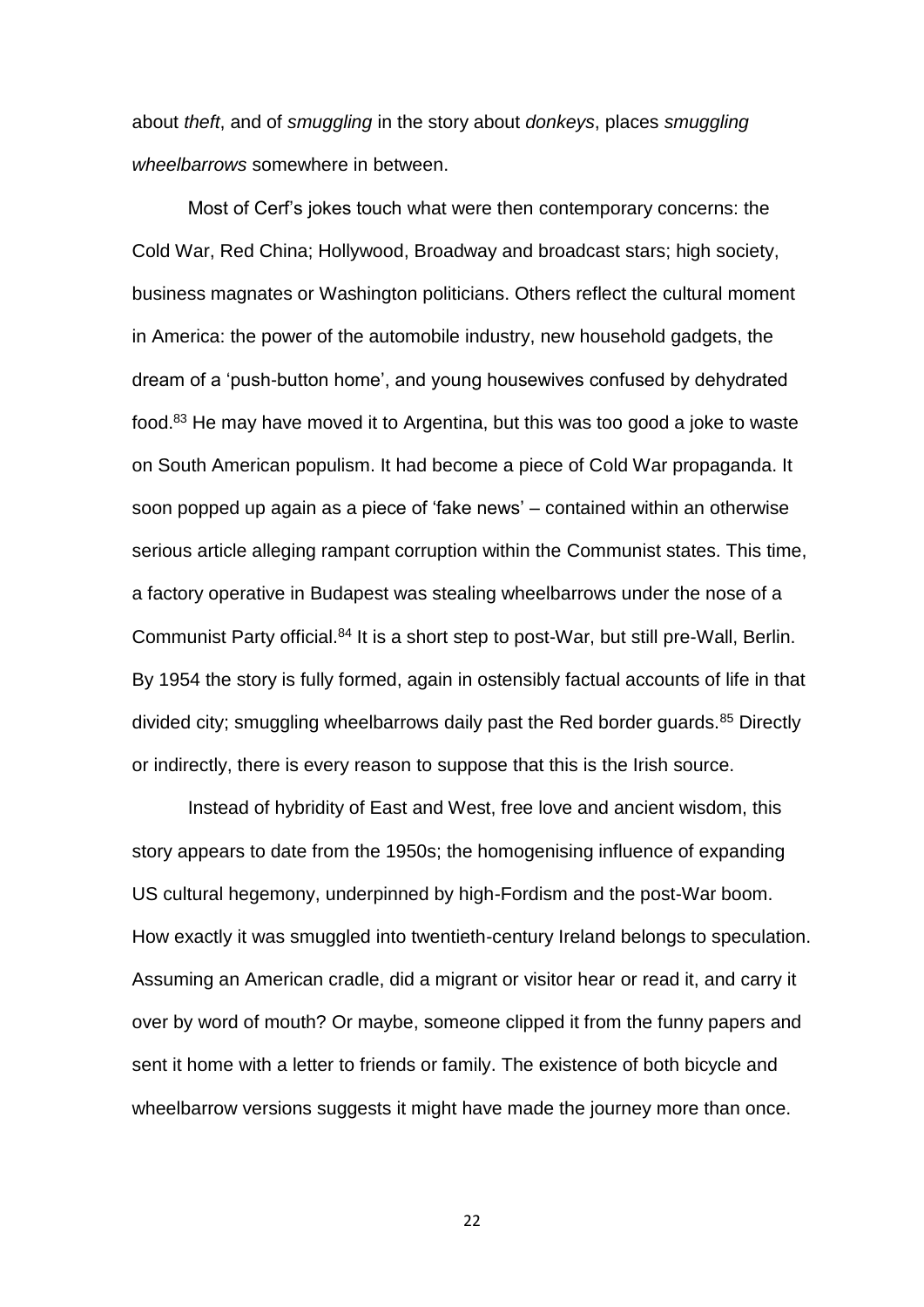about *theft*, and of *smuggling* in the story about *donkeys*, places *smuggling wheelbarrows* somewhere in between.

Most of Cerf's jokes touch what were then contemporary concerns: the Cold War, Red China; Hollywood, Broadway and broadcast stars; high society, business magnates or Washington politicians. Others reflect the cultural moment in America: the power of the automobile industry, new household gadgets, the dream of a 'push-button home', and young housewives confused by dehydrated food.<sup>83</sup> He may have moved it to Argentina, but this was too good a joke to waste on South American populism. It had become a piece of Cold War propaganda. It soon popped up again as a piece of 'fake news' – contained within an otherwise serious article alleging rampant corruption within the Communist states. This time, a factory operative in Budapest was stealing wheelbarrows under the nose of a Communist Party official.<sup>84</sup> It is a short step to post-War, but still pre-Wall, Berlin. By 1954 the story is fully formed, again in ostensibly factual accounts of life in that divided city; smuggling wheelbarrows daily past the Red border guards. $85$  Directly or indirectly, there is every reason to suppose that this is the Irish source.

Instead of hybridity of East and West, free love and ancient wisdom, this story appears to date from the 1950s; the homogenising influence of expanding US cultural hegemony, underpinned by high-Fordism and the post-War boom. How exactly it was smuggled into twentieth-century Ireland belongs to speculation. Assuming an American cradle, did a migrant or visitor hear or read it, and carry it over by word of mouth? Or maybe, someone clipped it from the funny papers and sent it home with a letter to friends or family. The existence of both bicycle and wheelbarrow versions suggests it might have made the journey more than once.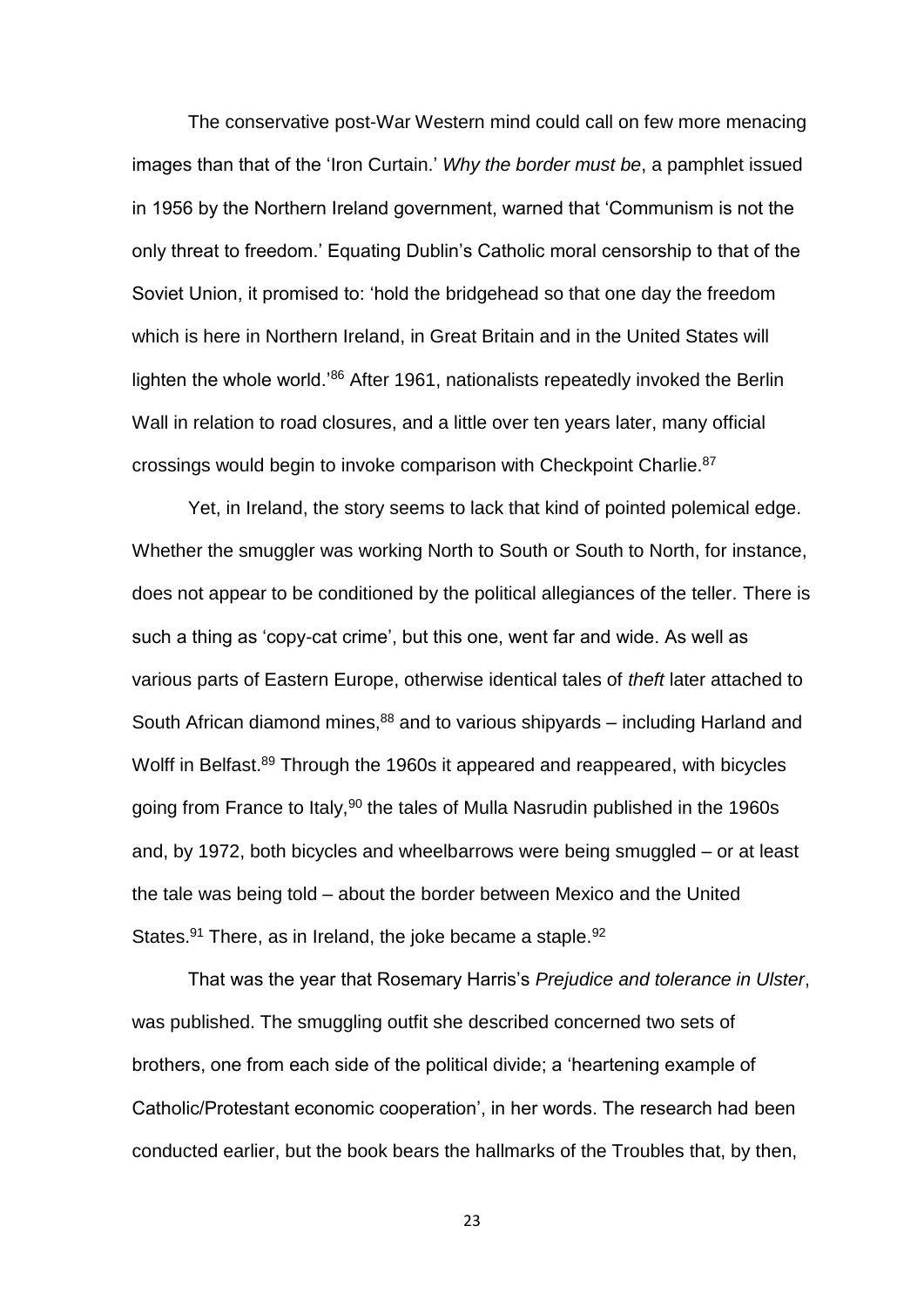The conservative post-War Western mind could call on few more menacing images than that of the 'Iron Curtain.' *Why the border must be*, a pamphlet issued in 1956 by the Northern Ireland government, warned that 'Communism is not the only threat to freedom.' Equating Dublin's Catholic moral censorship to that of the Soviet Union, it promised to: 'hold the bridgehead so that one day the freedom which is here in Northern Ireland, in Great Britain and in the United States will lighten the whole world.'<sup>86</sup> After 1961, nationalists repeatedly invoked the Berlin Wall in relation to road closures, and a little over ten years later, many official crossings would begin to invoke comparison with Checkpoint Charlie.<sup>87</sup>

Yet, in Ireland, the story seems to lack that kind of pointed polemical edge. Whether the smuggler was working North to South or South to North, for instance, does not appear to be conditioned by the political allegiances of the teller. There is such a thing as 'copy-cat crime', but this one, went far and wide. As well as various parts of Eastern Europe, otherwise identical tales of *theft* later attached to South African diamond mines, $88$  and to various shipyards – including Harland and Wolff in Belfast.<sup>89</sup> Through the 1960s it appeared and reappeared, with bicycles going from France to Italy,<sup>90</sup> the tales of Mulla Nasrudin published in the 1960s and, by 1972, both bicycles and wheelbarrows were being smuggled – or at least the tale was being told – about the border between Mexico and the United States.<sup>91</sup> There, as in Ireland, the joke became a staple.<sup>92</sup>

That was the year that Rosemary Harris's *Prejudice and tolerance in Ulster*, was published. The smuggling outfit she described concerned two sets of brothers, one from each side of the political divide; a 'heartening example of Catholic/Protestant economic cooperation', in her words. The research had been conducted earlier, but the book bears the hallmarks of the Troubles that, by then,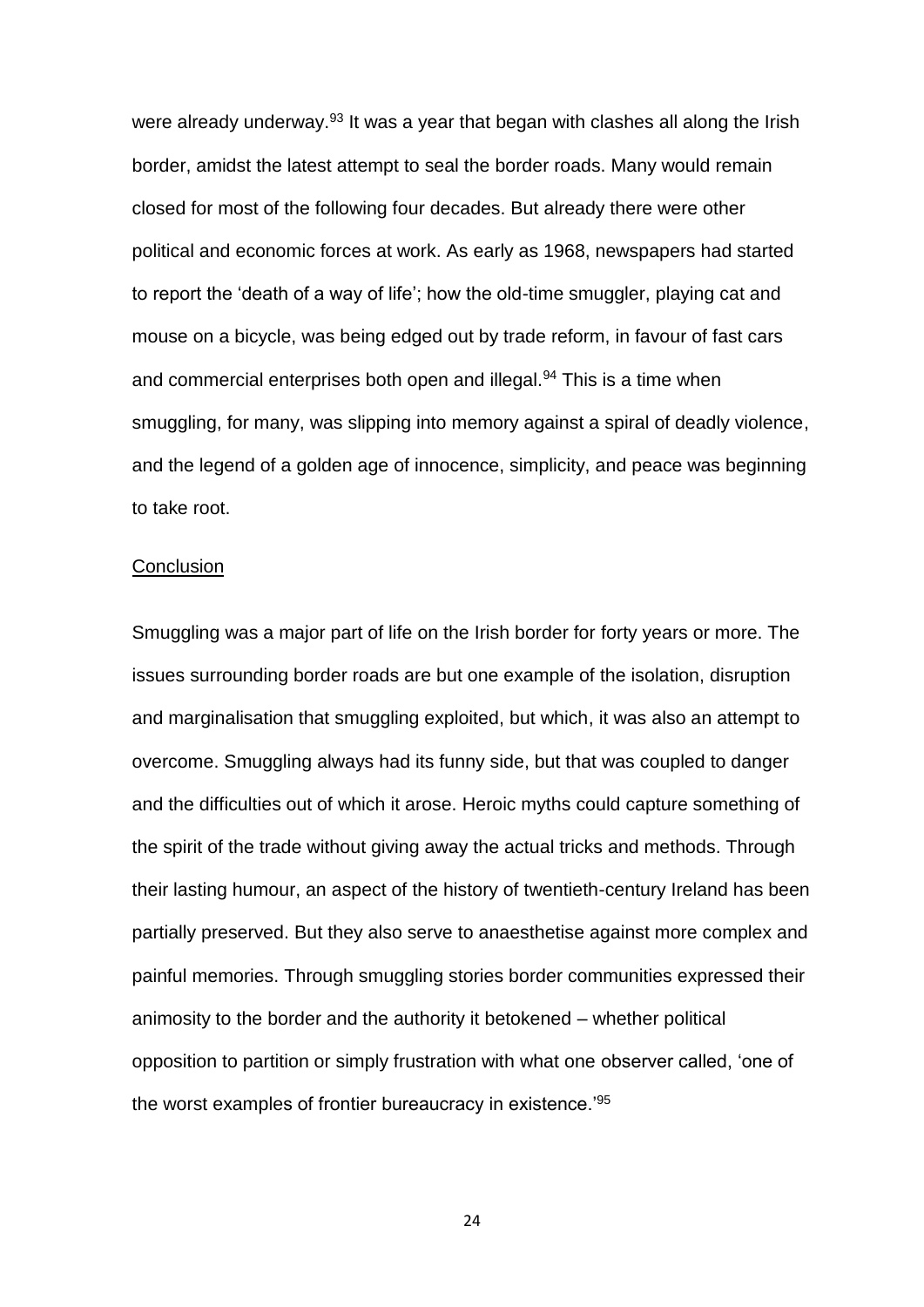were already underway.<sup>93</sup> It was a year that began with clashes all along the Irish border, amidst the latest attempt to seal the border roads. Many would remain closed for most of the following four decades. But already there were other political and economic forces at work. As early as 1968, newspapers had started to report the 'death of a way of life'; how the old-time smuggler, playing cat and mouse on a bicycle, was being edged out by trade reform, in favour of fast cars and commercial enterprises both open and illegal.<sup>94</sup> This is a time when smuggling, for many, was slipping into memory against a spiral of deadly violence, and the legend of a golden age of innocence, simplicity, and peace was beginning to take root.

#### **Conclusion**

Smuggling was a major part of life on the Irish border for forty years or more. The issues surrounding border roads are but one example of the isolation, disruption and marginalisation that smuggling exploited, but which, it was also an attempt to overcome. Smuggling always had its funny side, but that was coupled to danger and the difficulties out of which it arose. Heroic myths could capture something of the spirit of the trade without giving away the actual tricks and methods. Through their lasting humour, an aspect of the history of twentieth-century Ireland has been partially preserved. But they also serve to anaesthetise against more complex and painful memories. Through smuggling stories border communities expressed their animosity to the border and the authority it betokened – whether political opposition to partition or simply frustration with what one observer called, 'one of the worst examples of frontier bureaucracy in existence.<sup>'95</sup>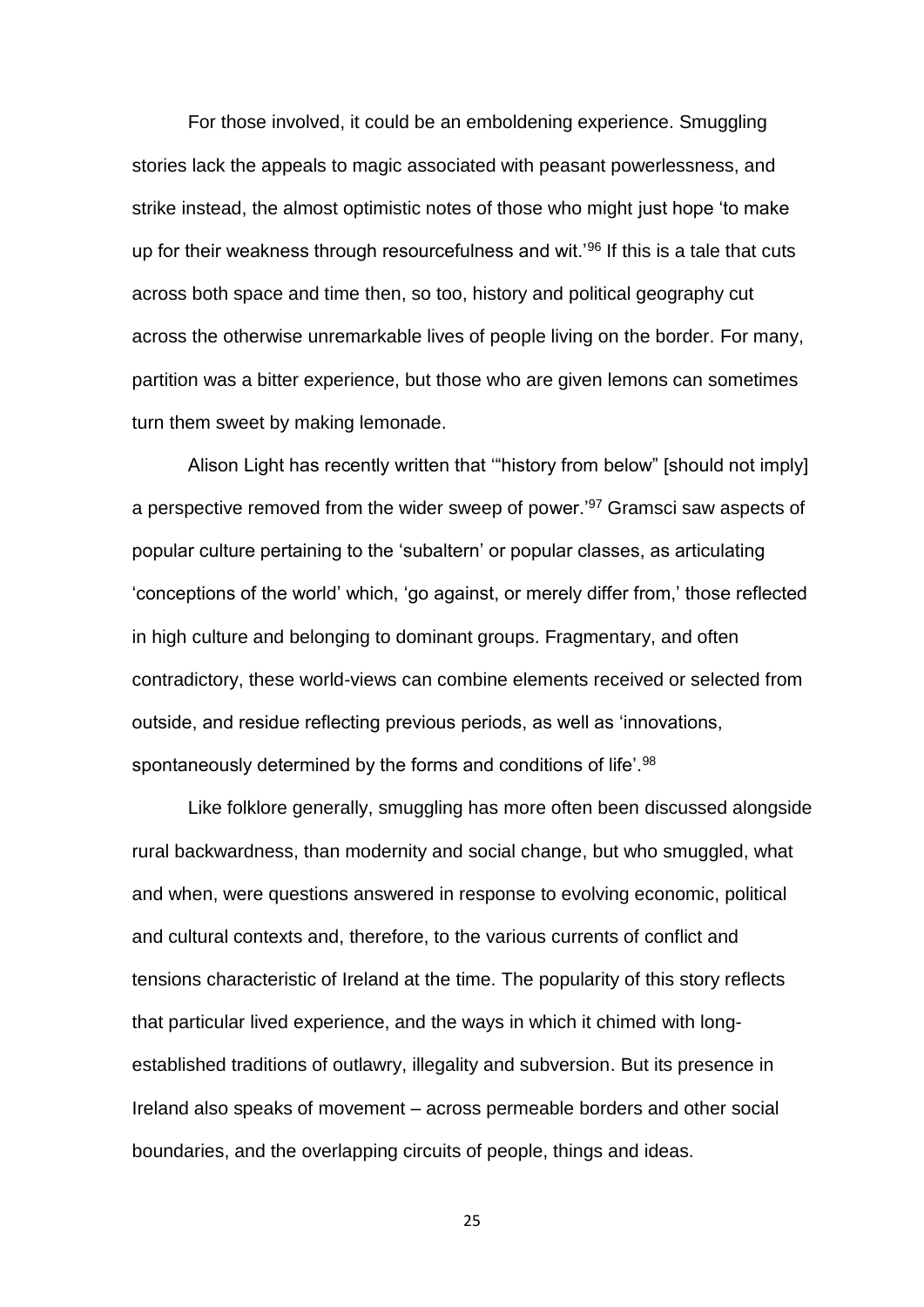For those involved, it could be an emboldening experience. Smuggling stories lack the appeals to magic associated with peasant powerlessness, and strike instead, the almost optimistic notes of those who might just hope 'to make up for their weakness through resourcefulness and wit.<sup>'96</sup> If this is a tale that cuts across both space and time then, so too, history and political geography cut across the otherwise unremarkable lives of people living on the border. For many, partition was a bitter experience, but those who are given lemons can sometimes turn them sweet by making lemonade.

Alison Light has recently written that '"history from below" [should not imply] a perspective removed from the wider sweep of power.'<sup>97</sup> Gramsci saw aspects of popular culture pertaining to the 'subaltern' or popular classes, as articulating 'conceptions of the world' which, 'go against, or merely differ from,' those reflected in high culture and belonging to dominant groups. Fragmentary, and often contradictory, these world-views can combine elements received or selected from outside, and residue reflecting previous periods, as well as 'innovations, spontaneously determined by the forms and conditions of life'.<sup>98</sup>

Like folklore generally, smuggling has more often been discussed alongside rural backwardness, than modernity and social change, but who smuggled, what and when, were questions answered in response to evolving economic, political and cultural contexts and, therefore, to the various currents of conflict and tensions characteristic of Ireland at the time. The popularity of this story reflects that particular lived experience, and the ways in which it chimed with longestablished traditions of outlawry, illegality and subversion. But its presence in Ireland also speaks of movement – across permeable borders and other social boundaries, and the overlapping circuits of people, things and ideas.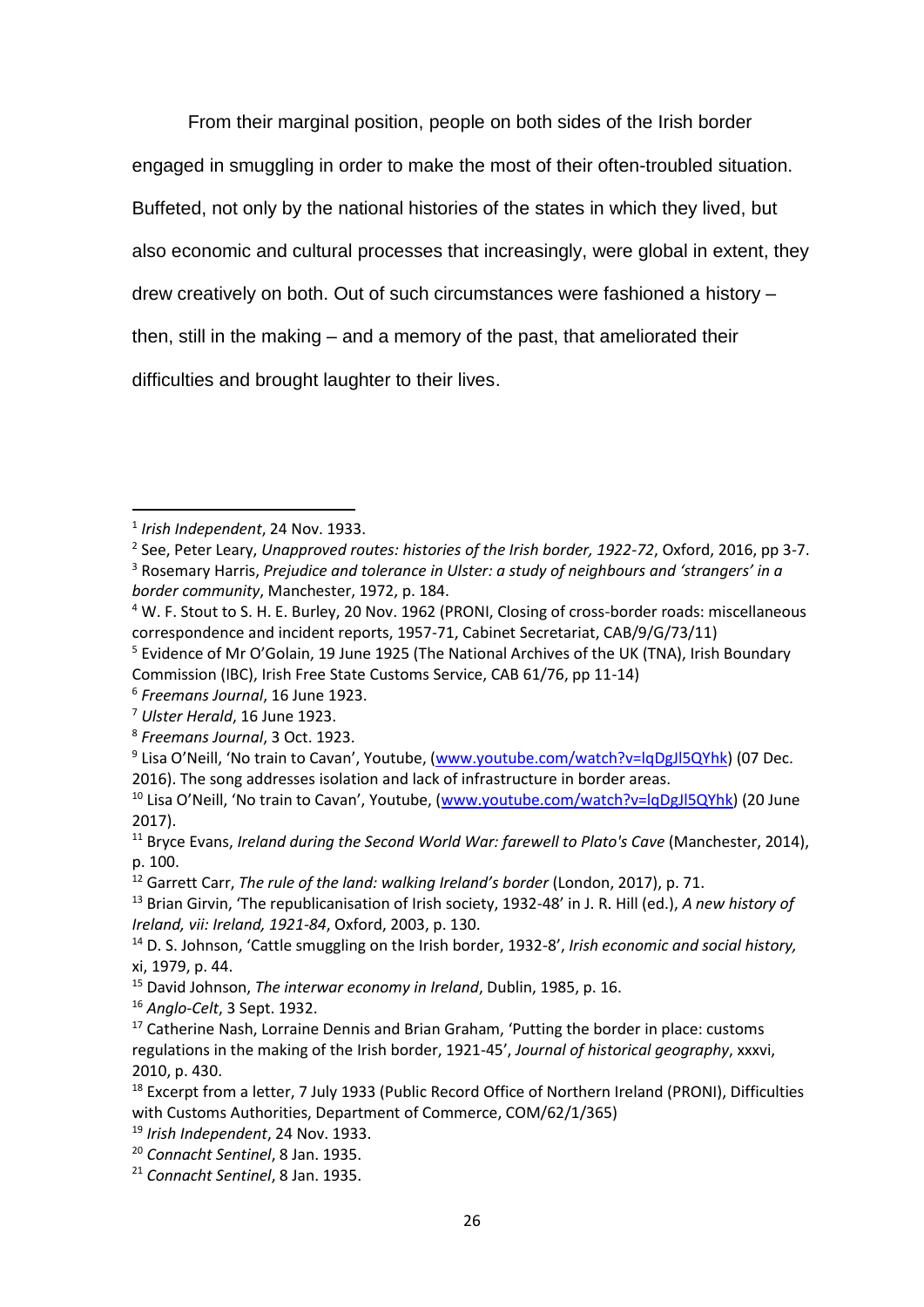From their marginal position, people on both sides of the Irish border engaged in smuggling in order to make the most of their often-troubled situation. Buffeted, not only by the national histories of the states in which they lived, but also economic and cultural processes that increasingly, were global in extent, they drew creatively on both. Out of such circumstances were fashioned a history – then, still in the making – and a memory of the past, that ameliorated their difficulties and brought laughter to their lives.

**.** 

<sup>1</sup> *Irish Independent*, 24 Nov. 1933.

<sup>2</sup> See, Peter Leary, *Unapproved routes: histories of the Irish border, 1922-72*, Oxford, 2016, pp 3-7.

<sup>3</sup> Rosemary Harris, *Prejudice and tolerance in Ulster: a study of neighbours and 'strangers' in a border community*, Manchester, 1972, p. 184.

<sup>4</sup> W. F. Stout to S. H. E. Burley, 20 Nov. 1962 (PRONI, Closing of cross-border roads: miscellaneous correspondence and incident reports, 1957-71, Cabinet Secretariat, CAB/9/G/73/11)

<sup>&</sup>lt;sup>5</sup> Evidence of Mr O'Golain, 19 June 1925 (The National Archives of the UK (TNA), Irish Boundary Commission (IBC), Irish Free State Customs Service, CAB 61/76, pp 11-14)

<sup>6</sup> *Freemans Journal*, 16 June 1923.

<sup>7</sup> *Ulster Herald*, 16 June 1923.

<sup>8</sup> *Freemans Journal*, 3 Oct. 1923.

<sup>&</sup>lt;sup>9</sup> Lisa O'Neill, 'No train to Cavan', Youtube, ([www.youtube.com/watch?v=lqDgJl5QYhk\)](http://www.youtube.com/watch?v=lqDgJl5QYhk) (07 Dec. 2016). The song addresses isolation and lack of infrastructure in border areas.

<sup>&</sup>lt;sup>10</sup> Lisa O'Neill, 'No train to Cavan', Youtube, ([www.youtube.com/watch?v=lqDgJl5QYhk\)](http://www.youtube.com/watch?v=lqDgJl5QYhk) (20 June 2017).

<sup>11</sup> Bryce Evans, *Ireland during the Second World War: farewell to Plato's Cave* (Manchester, 2014), p. 100.

<sup>12</sup> Garrett Carr, *The rule of the land: walking Ireland's border* (London, 2017), p. 71.

<sup>13</sup> Brian Girvin, 'The republicanisation of Irish society, 1932-48' in J. R. Hill (ed.), *A new history of Ireland, vii: Ireland, 1921-84*, Oxford, 2003, p. 130.

<sup>14</sup> D. S. Johnson, 'Cattle smuggling on the Irish border, 1932-8', *Irish economic and social history,* xi, 1979, p. 44.

<sup>15</sup> David Johnson, *The interwar economy in Ireland*, Dublin, 1985, p. 16.

<sup>16</sup> *Anglo-Celt*, 3 Sept. 1932.

 $17$  Catherine Nash, Lorraine Dennis and Brian Graham, 'Putting the border in place: customs regulations in the making of the Irish border, 1921-45', *Journal of historical geography*, xxxvi, 2010, p. 430.

<sup>&</sup>lt;sup>18</sup> Excerpt from a letter, 7 July 1933 (Public Record Office of Northern Ireland (PRONI), Difficulties with Customs Authorities, Department of Commerce, COM/62/1/365)

<sup>19</sup> *Irish Independent*, 24 Nov. 1933.

<sup>20</sup> *Connacht Sentinel*, 8 Jan. 1935.

<sup>21</sup> *Connacht Sentinel*, 8 Jan. 1935.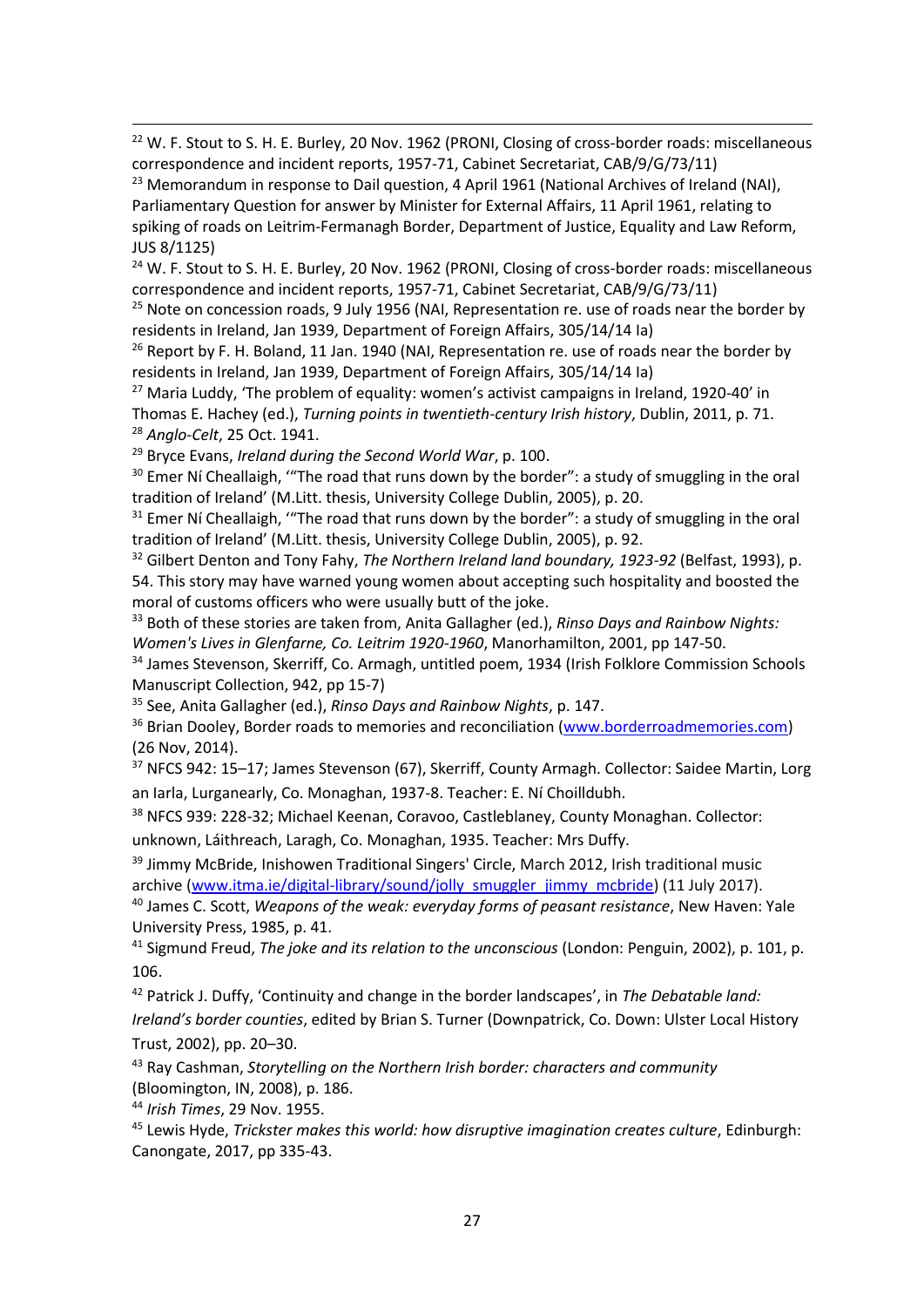$22$  W. F. Stout to S. H. E. Burley, 20 Nov. 1962 (PRONI, Closing of cross-border roads: miscellaneous correspondence and incident reports, 1957-71, Cabinet Secretariat, CAB/9/G/73/11)

<sup>23</sup> Memorandum in response to Dail question, 4 April 1961 (National Archives of Ireland (NAI), Parliamentary Question for answer by Minister for External Affairs, 11 April 1961, relating to spiking of roads on Leitrim-Fermanagh Border, Department of Justice, Equality and Law Reform, JUS 8/1125)

<sup>24</sup> W. F. Stout to S. H. E. Burley, 20 Nov. 1962 (PRONI, Closing of cross-border roads: miscellaneous correspondence and incident reports, 1957-71, Cabinet Secretariat, CAB/9/G/73/11)

 $25$  Note on concession roads, 9 July 1956 (NAI, Representation re. use of roads near the border by residents in Ireland, Jan 1939, Department of Foreign Affairs, 305/14/14 Ia)

 $26$  Report by F. H. Boland, 11 Jan. 1940 (NAI, Representation re. use of roads near the border by residents in Ireland, Jan 1939, Department of Foreign Affairs, 305/14/14 Ia)

<sup>27</sup> Maria Luddy, 'The problem of equality: women's activist campaigns in Ireland, 1920-40' in Thomas E. Hachey (ed.), *Turning points in twentieth-century Irish history*, Dublin, 2011, p. 71. <sup>28</sup> *Anglo-Celt*, 25 Oct. 1941.

<sup>29</sup> Bryce Evans, *Ireland during the Second World War*, p. 100.

1

<sup>30</sup> Emer Ní Cheallaigh, "The road that runs down by the border": a study of smuggling in the oral tradition of Ireland' (M.Litt. thesis, University College Dublin, 2005), p. 20.

<sup>31</sup> Emer Ní Cheallaigh, "The road that runs down by the border": a study of smuggling in the oral tradition of Ireland' (M.Litt. thesis, University College Dublin, 2005), p. 92.

<sup>32</sup> Gilbert Denton and Tony Fahy, *The Northern Ireland land boundary, 1923-92* (Belfast, 1993), p. 54. This story may have warned young women about accepting such hospitality and boosted the moral of customs officers who were usually butt of the joke.

<sup>33</sup> Both of these stories are taken from, Anita Gallagher (ed.), *Rinso Days and Rainbow Nights: Women's Lives in Glenfarne, Co. Leitrim 1920-1960*, Manorhamilton, 2001, pp 147-50.

<sup>34</sup> James Stevenson, Skerriff, Co. Armagh, untitled poem, 1934 (Irish Folklore Commission Schools Manuscript Collection, 942, pp 15-7)

<sup>35</sup> See, Anita Gallagher (ed.), *Rinso Days and Rainbow Nights*, p. 147.

<sup>36</sup> Brian Dooley, Border roads to memories and reconciliation [\(www.borderroadmemories.com\)](http://www.borderroadmemories.com/) (26 Nov, 2014).

<sup>37</sup> NFCS 942: 15–17; James Stevenson (67), Skerriff, County Armagh. Collector: Saidee Martin, Lorg an Iarla, Lurganearly, Co. Monaghan, 1937-8. Teacher: E. Ní Choilldubh.

<sup>38</sup> NFCS 939: 228-32; Michael Keenan, Coravoo, Castleblaney, County Monaghan. Collector: unknown, Láithreach, Laragh, Co. Monaghan, 1935. Teacher: Mrs Duffy.

<sup>39</sup> Jimmy McBride, Inishowen Traditional Singers' Circle, March 2012, Irish traditional music archive [\(www.itma.ie/digital-library/sound/jolly\\_smuggler\\_jimmy\\_mcbride\)](http://www.itma.ie/digital-library/sound/jolly_smuggler_jimmy_mcbride) (11 July 2017).

<sup>40</sup> James C. Scott, *Weapons of the weak: everyday forms of peasant resistance*, New Haven: Yale University Press, 1985, p. 41.

<sup>41</sup> Sigmund Freud, *The joke and its relation to the unconscious* (London: Penguin, 2002), p. 101, p. 106.

<sup>42</sup> Patrick J. Duffy, 'Continuity and change in the border landscapes', in *The Debatable land:* 

*Ireland's border counties*, edited by Brian S. Turner (Downpatrick, Co. Down: Ulster Local History Trust, 2002), pp. 20–30.

<sup>43</sup> Ray Cashman, *Storytelling on the Northern Irish border: characters and community*  (Bloomington, IN, 2008), p. 186.

<sup>44</sup> *Irish Times*, 29 Nov. 1955.

<sup>45</sup> Lewis Hyde, *Trickster makes this world: how disruptive imagination creates culture*, Edinburgh: Canongate, 2017, pp 335-43.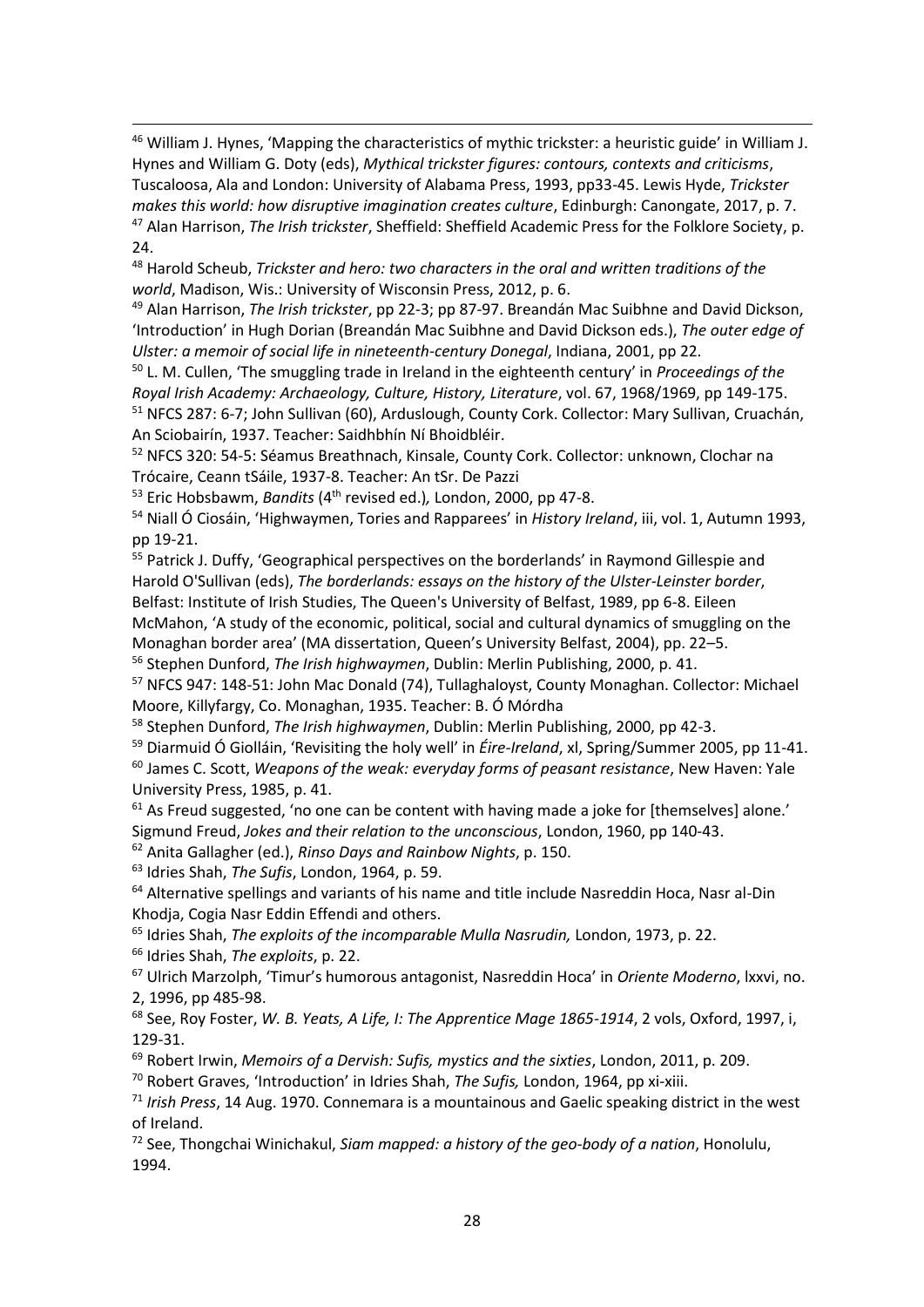<sup>46</sup> William J. Hynes, 'Mapping the characteristics of mythic trickster: a heuristic guide' in William J. Hynes and William G. Doty (eds), *Mythical trickster figures: contours, contexts and criticisms*, Tuscaloosa, Ala and London: University of Alabama Press, 1993, pp33-45. Lewis Hyde, *Trickster makes this world: how disruptive imagination creates culture*, Edinburgh: Canongate, 2017, p. 7. <sup>47</sup> Alan Harrison, *The Irish trickster*, Sheffield: Sheffield Academic Press for the Folklore Society, p. 24.

<sup>48</sup> Harold Scheub, *Trickster and hero: two characters in the oral and written traditions of the world*, Madison, Wis.: University of Wisconsin Press, 2012, p. 6.

<sup>49</sup> Alan Harrison, *The Irish trickster*, pp 22-3; pp 87-97. Breandán Mac Suibhne and David Dickson, 'Introduction' in Hugh Dorian (Breandán Mac Suibhne and David Dickson eds.), *The outer edge of Ulster: a memoir of social life in nineteenth-century Donegal*, Indiana, 2001, pp 22.

<sup>50</sup> L. M. Cullen, 'The smuggling trade in Ireland in the eighteenth century' in *Proceedings of the Royal Irish Academy: Archaeology, Culture, History, Literature*, vol. 67, 1968/1969, pp 149-175. <sup>51</sup> NFCS 287: 6-7; John Sullivan (60), Arduslough, County Cork. Collector: Mary Sullivan, Cruachán, An Sciobairín, 1937. Teacher: Saidhbhín Ní Bhoidbléir.

<sup>52</sup> NFCS 320: 54-5: Séamus Breathnach, Kinsale, County Cork. Collector: unknown, Clochar na Trócaire, Ceann tSáile, 1937-8. Teacher: An tSr. De Pazzi

<sup>53</sup> Eric Hobsbawm, *Bandits* (4th revised ed.)*,* London, 2000, pp 47-8.

<sup>54</sup> Niall Ó Ciosáin, 'Highwaymen, Tories and Rapparees' in *History Ireland*, iii, vol. 1, Autumn 1993, pp 19-21.

<sup>55</sup> Patrick J. Duffy, 'Geographical perspectives on the borderlands' in Raymond Gillespie and Harold O'Sullivan (eds), *The borderlands: essays on the history of the Ulster-Leinster border*, Belfast: Institute of Irish Studies, The Queen's University of Belfast, 1989, pp 6-8. Eileen McMahon, 'A study of the economic, political, social and cultural dynamics of smuggling on the Monaghan border area' (MA dissertation, Queen's University Belfast, 2004), pp. 22–5.

<sup>56</sup> Stephen Dunford, *The Irish highwaymen*, Dublin: Merlin Publishing, 2000, p. 41.

<sup>57</sup> NFCS 947: 148-51: John Mac Donald (74), Tullaghaloyst, County Monaghan. Collector: Michael Moore, Killyfargy, Co. Monaghan, 1935. Teacher: B. Ó Mórdha

<sup>58</sup> Stephen Dunford, *The Irish highwaymen*, Dublin: Merlin Publishing, 2000, pp 42-3.

<sup>59</sup> Diarmuid Ó Giolláin, 'Revisiting the holy well' in *Éire-Ireland*, xl, Spring/Summer 2005, pp 11-41. <sup>60</sup> James C. Scott, *Weapons of the weak: everyday forms of peasant resistance*, New Haven: Yale University Press, 1985, p. 41.

 $61$  As Freud suggested, 'no one can be content with having made a joke for [themselves] alone.' Sigmund Freud, *Jokes and their relation to the unconscious*, London, 1960, pp 140-43.

<sup>62</sup> Anita Gallagher (ed.), *Rinso Days and Rainbow Nights*, p. 150.

<sup>63</sup> Idries Shah, *The Sufis*, London, 1964, p. 59.

<sup>64</sup> Alternative spellings and variants of his name and title include Nasreddin Hoca, Nasr al-Din Khodja, Cogia Nasr Eddin Effendi and others.

<sup>65</sup> Idries Shah, *The exploits of the incomparable Mulla Nasrudin,* London, 1973, p. 22.

<sup>66</sup> Idries Shah, *The exploits*, p. 22.

1

<sup>67</sup> Ulrich Marzolph, 'Timur's humorous antagonist, Nasreddin Hoca' in *Oriente Moderno*, lxxvi, no. 2, 1996, pp 485-98.

<sup>68</sup> See, Roy Foster, *W. B. Yeats, A Life, I: The Apprentice Mage 1865-1914*, 2 vols, Oxford, 1997, i, 129-31.

<sup>69</sup> Robert Irwin, *Memoirs of a Dervish: Sufis, mystics and the sixties*, London, 2011, p. 209.

<sup>70</sup> Robert Graves, 'Introduction' in Idries Shah, *The Sufis,* London, 1964, pp xi-xiii.

<sup>71</sup> *Irish Press*, 14 Aug. 1970. Connemara is a mountainous and Gaelic speaking district in the west of Ireland.

<sup>72</sup> See, Thongchai Winichakul, *Siam mapped: a history of the geo-body of a nation*, Honolulu, 1994.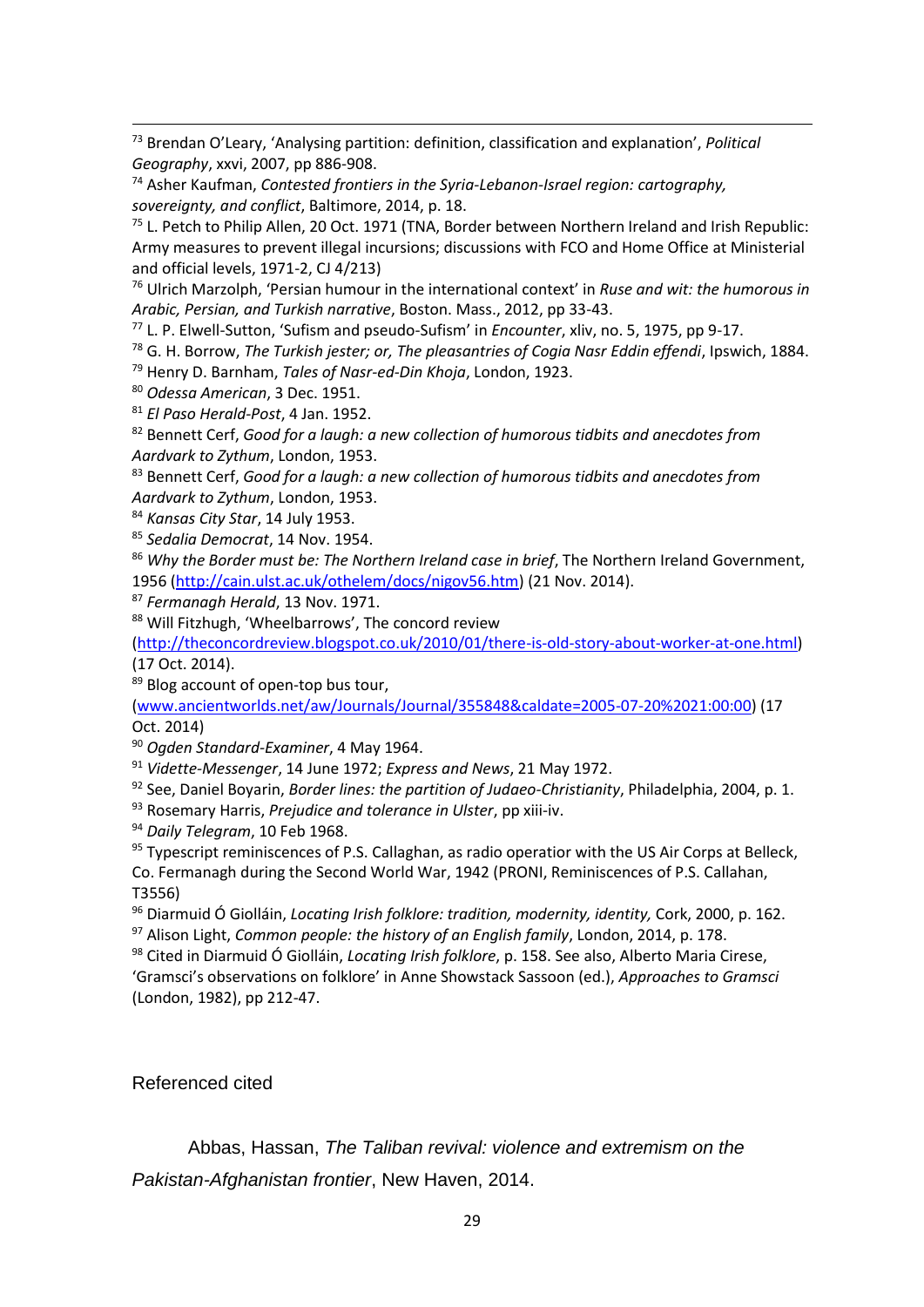<sup>73</sup> Brendan O'Leary, 'Analysing partition: definition, classification and explanation', *Political Geography*, xxvi, 2007, pp 886-908.

<sup>74</sup> Asher Kaufman, *Contested frontiers in the Syria-Lebanon-Israel region: cartography, sovereignty, and conflict*, Baltimore, 2014, p. 18.

<sup>75</sup> L. Petch to Philip Allen, 20 Oct. 1971 (TNA, Border between Northern Ireland and Irish Republic: Army measures to prevent illegal incursions; discussions with FCO and Home Office at Ministerial and official levels, 1971-2, CJ 4/213)

<sup>76</sup> Ulrich Marzolph, 'Persian humour in the international context' in *Ruse and wit: the humorous in Arabic, Persian, and Turkish narrative*, Boston. Mass., 2012, pp 33-43.

<sup>77</sup> L. P. Elwell-Sutton, 'Sufism and pseudo-Sufism' in *Encounter*, xliv, no. 5, 1975, pp 9-17.

<sup>78</sup> G. H. Borrow, *The Turkish jester; or, The pleasantries of Cogia Nasr Eddin effendi*, Ipswich, 1884.

<sup>79</sup> Henry D. Barnham, *Tales of Nasr-ed-Din Khoja*, London, 1923.

<sup>80</sup> *Odessa American*, 3 Dec. 1951.

1

<sup>81</sup> *El Paso Herald-Post*, 4 Jan. 1952.

<sup>82</sup> Bennett Cerf, *Good for a laugh: a new collection of humorous tidbits and anecdotes from Aardvark to Zythum*, London, 1953.

<sup>83</sup> Bennett Cerf, *Good for a laugh: a new collection of humorous tidbits and anecdotes from Aardvark to Zythum*, London, 1953.

<sup>84</sup> *Kansas City Star*, 14 July 1953.

<sup>85</sup> *Sedalia Democrat*, 14 Nov. 1954.

<sup>86</sup> *Why the Border must be: The Northern Ireland case in brief*, The Northern Ireland Government, 1956 [\(http://cain.ulst.ac.uk/othelem/docs/nigov56.htm\)](http://cain.ulst.ac.uk/othelem/docs/nigov56.htm) (21 Nov. 2014).

<sup>87</sup> *Fermanagh Herald*, 13 Nov. 1971.

88 Will Fitzhugh, 'Wheelbarrows', The concord review

[\(http://theconcordreview.blogspot.co.uk/2010/01/there-is-old-story-about-worker-at-one.html\)](http://theconcordreview.blogspot.co.uk/2010/01/there-is-old-story-about-worker-at-one.html) (17 Oct. 2014).

89 Blog account of open-top bus tour,

[\(www.ancientworlds.net/aw/Journals/Journal/355848&caldate=2005-07-20%2021:00:00\)](http://www.ancientworlds.net/aw/Journals/Journal/355848&caldate=2005-07-20%2021:00:00) (17 Oct. 2014)

<sup>90</sup> *Ogden Standard-Examiner*, 4 May 1964.

<sup>91</sup> *Vidette-Messenger*, 14 June 1972; *Express and News*, 21 May 1972.

<sup>92</sup> See, Daniel Boyarin, *Border lines: the partition of Judaeo-Christianity*, Philadelphia, 2004, p. 1.

<sup>93</sup> Rosemary Harris, *Prejudice and tolerance in Ulster*, pp xiii-iv.

<sup>94</sup> *Daily Telegram*, 10 Feb 1968.

<sup>95</sup> Typescript reminiscences of P.S. Callaghan, as radio operatior with the US Air Corps at Belleck, Co. Fermanagh during the Second World War, 1942 (PRONI, Reminiscences of P.S. Callahan, T3556)

<sup>96</sup> Diarmuid Ó Giolláin, *Locating Irish folklore: tradition, modernity, identity,* Cork, 2000, p. 162. <sup>97</sup> Alison Light, *Common people: the history of an English family*, London, 2014, p. 178.

<sup>98</sup> Cited in Diarmuid Ó Giolláin, *Locating Irish folklore*, p. 158. See also, Alberto Maria Cirese, 'Gramsci's observations on folklore' in Anne Showstack Sassoon (ed.), *Approaches to Gramsci* (London, 1982), pp 212-47.

## Referenced cited

Abbas, Hassan, *The Taliban revival: violence and extremism on the Pakistan-Afghanistan frontier*, New Haven, 2014.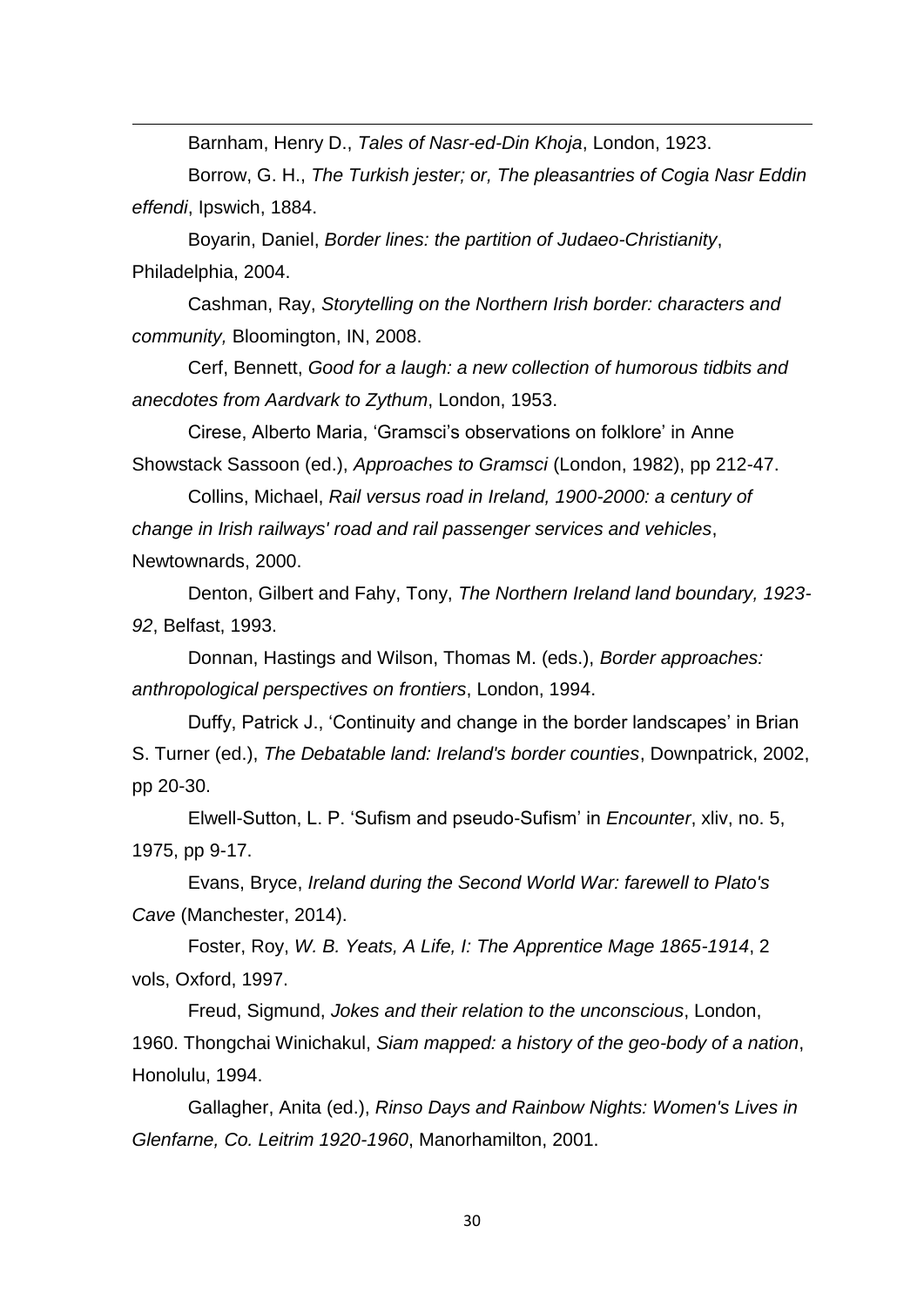Barnham, Henry D., *Tales of Nasr-ed-Din Khoja*, London, 1923.

1

Borrow, G. H., *The Turkish jester; or, The pleasantries of Cogia Nasr Eddin effendi*, Ipswich, 1884.

Boyarin, Daniel, *Border lines: the partition of Judaeo-Christianity*, Philadelphia, 2004.

Cashman, Ray, *Storytelling on the Northern Irish border: characters and community,* Bloomington, IN, 2008.

Cerf, Bennett, *Good for a laugh: a new collection of humorous tidbits and anecdotes from Aardvark to Zythum*, London, 1953.

Cirese, Alberto Maria, 'Gramsci's observations on folklore' in Anne Showstack Sassoon (ed.), *Approaches to Gramsci* (London, 1982), pp 212-47.

Collins, Michael, *Rail versus road in Ireland, 1900-2000: a century of change in Irish railways' road and rail passenger services and vehicles*, Newtownards, 2000.

Denton, Gilbert and Fahy, Tony, *The Northern Ireland land boundary, 1923- 92*, Belfast, 1993.

Donnan, Hastings and Wilson, Thomas M. (eds.), *Border approaches: anthropological perspectives on frontiers*, London, 1994.

Duffy, Patrick J., 'Continuity and change in the border landscapes' in Brian S. Turner (ed.), *The Debatable land: Ireland's border counties*, Downpatrick, 2002, pp 20-30.

Elwell-Sutton, L. P. 'Sufism and pseudo-Sufism' in *Encounter*, xliv, no. 5, 1975, pp 9-17.

Evans, Bryce, *Ireland during the Second World War: farewell to Plato's Cave* (Manchester, 2014).

Foster, Roy, *W. B. Yeats, A Life, I: The Apprentice Mage 1865-1914*, 2 vols, Oxford, 1997.

Freud, Sigmund, *Jokes and their relation to the unconscious*, London, 1960. Thongchai Winichakul, *Siam mapped: a history of the geo-body of a nation*, Honolulu, 1994.

Gallagher, Anita (ed.), *Rinso Days and Rainbow Nights: Women's Lives in Glenfarne, Co. Leitrim 1920-1960*, Manorhamilton, 2001.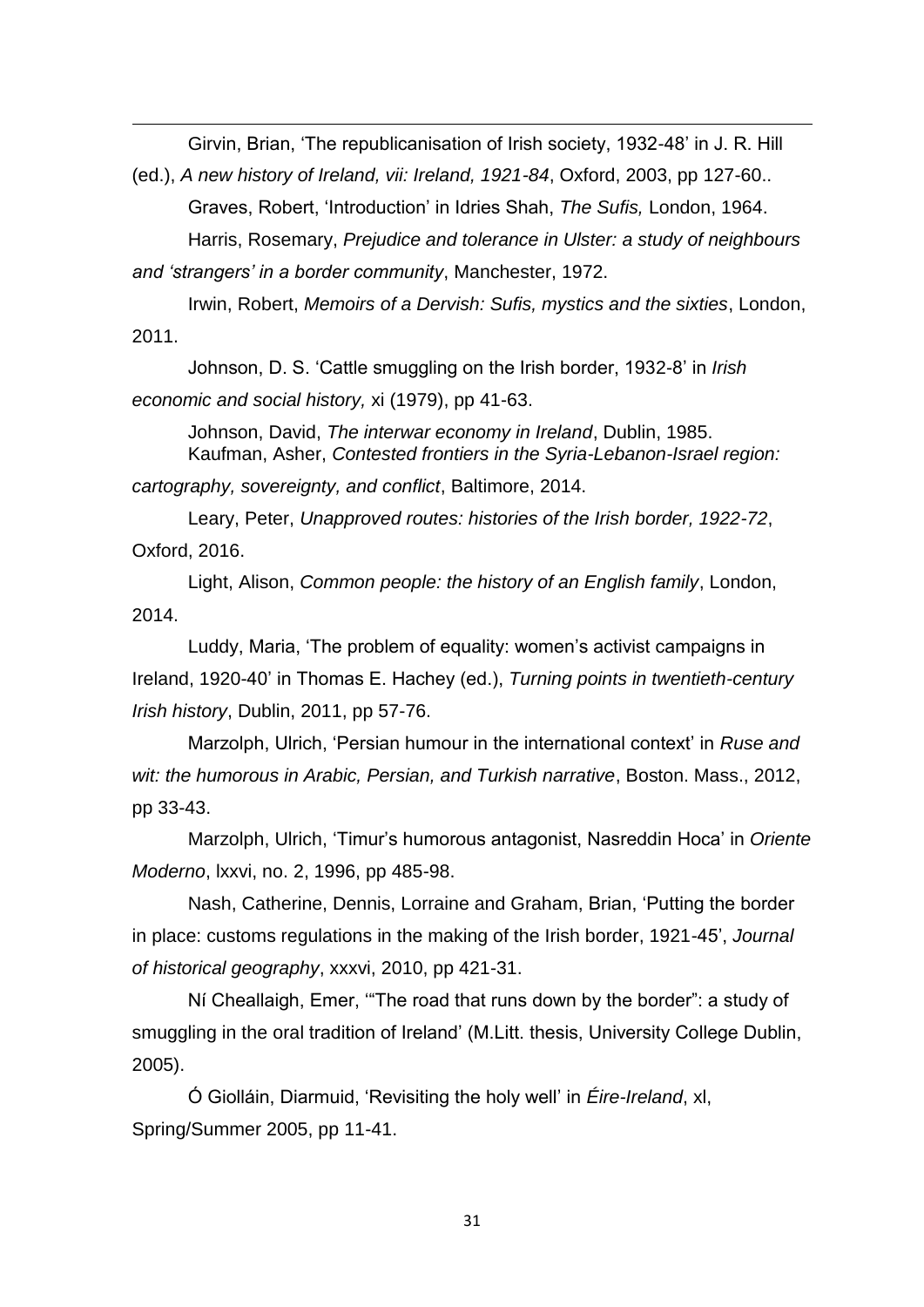Girvin, Brian, 'The republicanisation of Irish society, 1932-48' in J. R. Hill

(ed.), *A new history of Ireland, vii: Ireland, 1921-84*, Oxford, 2003, pp 127-60.. Graves, Robert, 'Introduction' in Idries Shah, *The Sufis,* London, 1964.

Harris, Rosemary, *Prejudice and tolerance in Ulster: a study of neighbours and 'strangers' in a border community*, Manchester, 1972.

Irwin, Robert, *Memoirs of a Dervish: Sufis, mystics and the sixties*, London,

2011.

1

Johnson, D. S. 'Cattle smuggling on the Irish border, 1932-8' in *Irish economic and social history,* xi (1979), pp 41-63.

Johnson, David, *The interwar economy in Ireland*, Dublin, 1985. Kaufman, Asher, *Contested frontiers in the Syria-Lebanon-Israel region:* 

*cartography, sovereignty, and conflict*, Baltimore, 2014.

Leary, Peter, *Unapproved routes: histories of the Irish border, 1922-72*, Oxford, 2016.

Light, Alison, *Common people: the history of an English family*, London, 2014.

Luddy, Maria, 'The problem of equality: women's activist campaigns in Ireland, 1920-40' in Thomas E. Hachey (ed.), *Turning points in twentieth-century Irish history*, Dublin, 2011, pp 57-76.

Marzolph, Ulrich, 'Persian humour in the international context' in *Ruse and wit: the humorous in Arabic, Persian, and Turkish narrative*, Boston. Mass., 2012, pp 33-43.

Marzolph, Ulrich, 'Timur's humorous antagonist, Nasreddin Hoca' in *Oriente Moderno*, lxxvi, no. 2, 1996, pp 485-98.

Nash, Catherine, Dennis, Lorraine and Graham, Brian, 'Putting the border in place: customs regulations in the making of the Irish border, 1921-45', *Journal of historical geography*, xxxvi, 2010, pp 421-31.

Ní Cheallaigh, Emer, '"The road that runs down by the border": a study of smuggling in the oral tradition of Ireland' (M.Litt. thesis, University College Dublin, 2005).

Ó Giolláin, Diarmuid, 'Revisiting the holy well' in *Éire-Ireland*, xl, Spring/Summer 2005, pp 11-41.